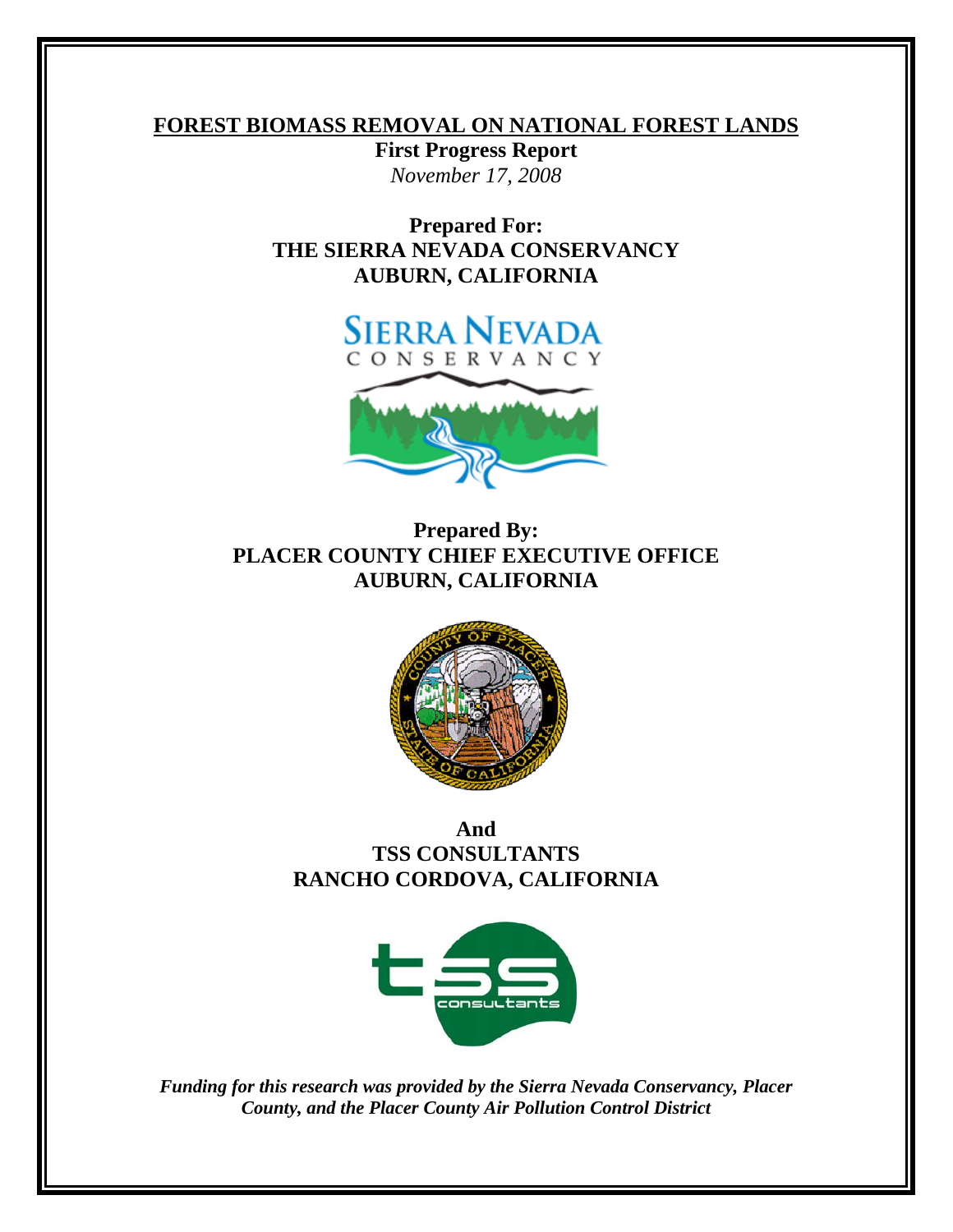### **FOREST BIOMASS REMOVAL ON NATIONAL FOREST LANDS**

**First Progress Report**  *November 17, 2008* 

**Prepared For: THE SIERRA NEVADA CONSERVANCY AUBURN, CALIFORNIA** 





### **Prepared By: PLACER COUNTY CHIEF EXECUTIVE OFFICE AUBURN, CALIFORNIA**



### **And TSS CONSULTANTS RANCHO CORDOVA, CALIFORNIA**



*Funding for this research was provided by the Sierra Nevada Conservancy, Placer County, and the Placer County Air Pollution Control District*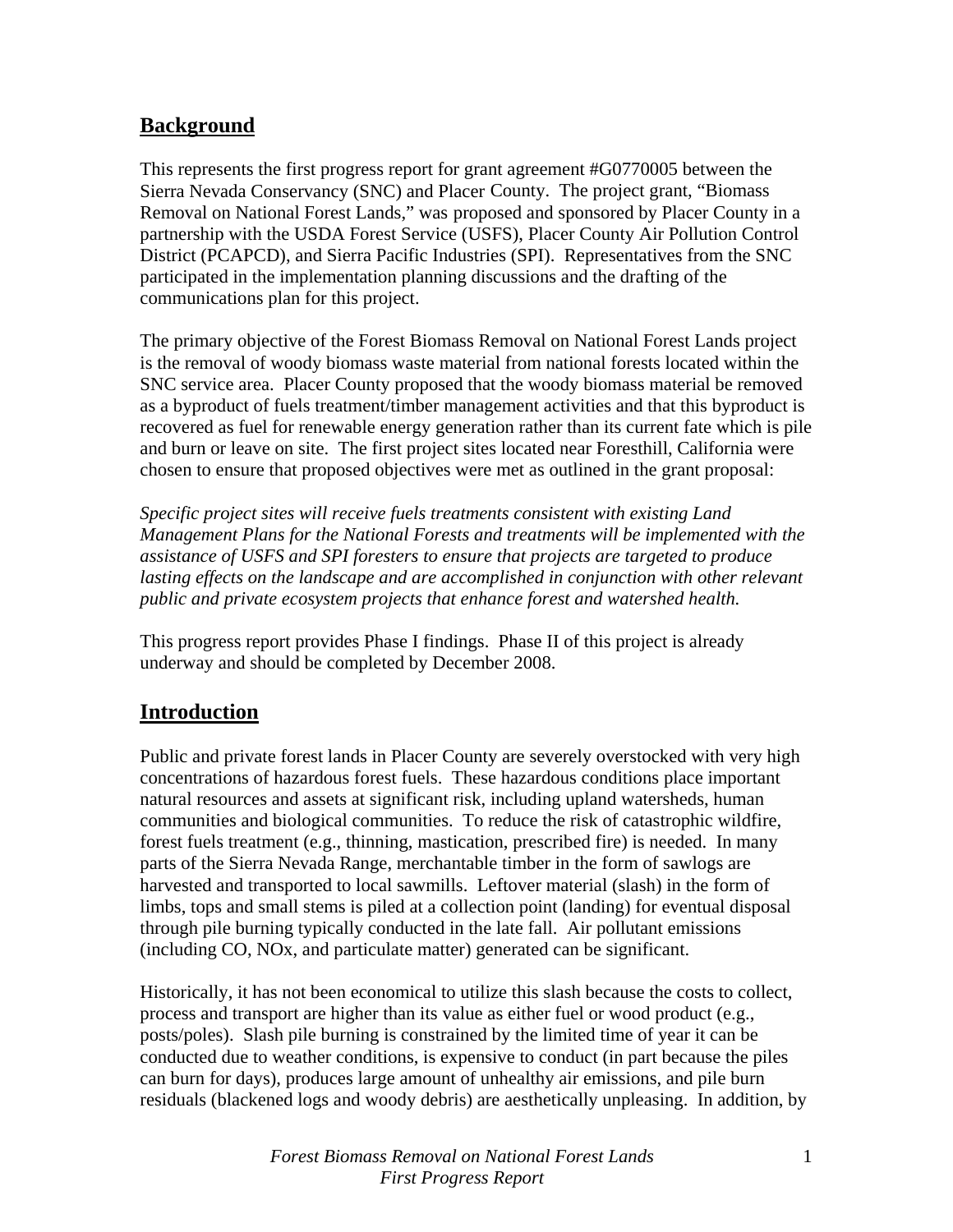### **Background**

This represents the first progress report for grant agreement #G0770005 between the Sierra Nevada Conservancy (SNC) and Placer County. The project grant, "Biomass Removal on National Forest Lands," was proposed and sponsored by Placer County in a partnership with the USDA Forest Service (USFS), Placer County Air Pollution Control District (PCAPCD), and Sierra Pacific Industries (SPI). Representatives from the SNC participated in the implementation planning discussions and the drafting of the communications plan for this project.

The primary objective of the Forest Biomass Removal on National Forest Lands project is the removal of woody biomass waste material from national forests located within the SNC service area. Placer County proposed that the woody biomass material be removed as a byproduct of fuels treatment/timber management activities and that this byproduct is recovered as fuel for renewable energy generation rather than its current fate which is pile and burn or leave on site. The first project sites located near Foresthill, California were chosen to ensure that proposed objectives were met as outlined in the grant proposal:

*Specific project sites will receive fuels treatments consistent with existing Land Management Plans for the National Forests and treatments will be implemented with the assistance of USFS and SPI foresters to ensure that projects are targeted to produce*  lasting effects on the landscape and are accomplished in conjunction with other relevant *public and private ecosystem projects that enhance forest and watershed health.* 

This progress report provides Phase I findings. Phase II of this project is already underway and should be completed by December 2008.

### **Introduction**

Public and private forest lands in Placer County are severely overstocked with very high concentrations of hazardous forest fuels. These hazardous conditions place important natural resources and assets at significant risk, including upland watersheds, human communities and biological communities. To reduce the risk of catastrophic wildfire, forest fuels treatment (e.g., thinning, mastication, prescribed fire) is needed. In many parts of the Sierra Nevada Range, merchantable timber in the form of sawlogs are harvested and transported to local sawmills. Leftover material (slash) in the form of limbs, tops and small stems is piled at a collection point (landing) for eventual disposal through pile burning typically conducted in the late fall. Air pollutant emissions (including CO, NOx, and particulate matter) generated can be significant.

Historically, it has not been economical to utilize this slash because the costs to collect, process and transport are higher than its value as either fuel or wood product (e.g., posts/poles). Slash pile burning is constrained by the limited time of year it can be conducted due to weather conditions, is expensive to conduct (in part because the piles can burn for days), produces large amount of unhealthy air emissions, and pile burn residuals (blackened logs and woody debris) are aesthetically unpleasing. In addition, by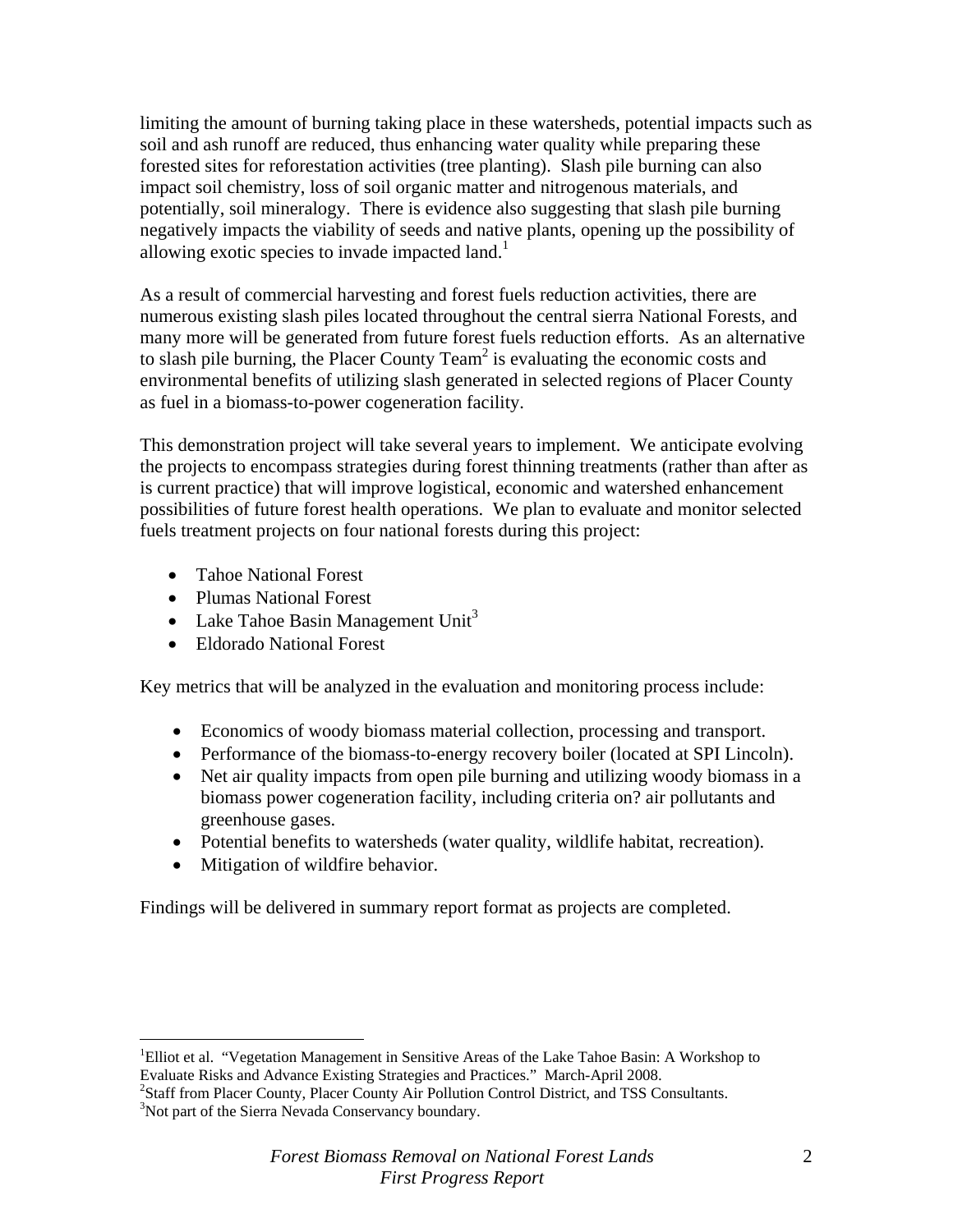limiting the amount of burning taking place in these watersheds, potential impacts such as soil and ash runoff are reduced, thus enhancing water quality while preparing these forested sites for reforestation activities (tree planting). Slash pile burning can also impact soil chemistry, loss of soil organic matter and nitrogenous materials, and potentially, soil mineralogy. There is evidence also suggesting that slash pile burning negatively impacts the viability of seeds and native plants, opening up the possibility of allowing exotic species to invade impacted land.<sup>1</sup>

As a result of commercial harvesting and forest fuels reduction activities, there are numerous existing slash piles located throughout the central sierra National Forests, and many more will be generated from future forest fuels reduction efforts. As an alternative to slash pile burning, the Placer County Team<sup>2</sup> is evaluating the economic costs and environmental benefits of utilizing slash generated in selected regions of Placer County as fuel in a biomass-to-power cogeneration facility.

This demonstration project will take several years to implement. We anticipate evolving the projects to encompass strategies during forest thinning treatments (rather than after as is current practice) that will improve logistical, economic and watershed enhancement possibilities of future forest health operations. We plan to evaluate and monitor selected fuels treatment projects on four national forests during this project:

- Tahoe National Forest
- Plumas National Forest
- Lake Tahoe Basin Management Unit<sup>3</sup>
- Eldorado National Forest

Key metrics that will be analyzed in the evaluation and monitoring process include:

- Economics of woody biomass material collection, processing and transport.
- Performance of the biomass-to-energy recovery boiler (located at SPI Lincoln).
- Net air quality impacts from open pile burning and utilizing woody biomass in a biomass power cogeneration facility, including criteria on? air pollutants and greenhouse gases.
- Potential benefits to watersheds (water quality, wildlife habitat, recreation).
- Mitigation of wildfire behavior.

 $\overline{a}$ 

Findings will be delivered in summary report format as projects are completed.

<sup>&</sup>lt;sup>1</sup>Elliot et al. "Vegetation Management in Sensitive Areas of the Lake Tahoe Basin: A Workshop to Evaluate Risks and Advance Existing Strategies and Practices." March-April 2008. 2

<sup>&</sup>lt;sup>2</sup>Staff from Placer County, Placer County Air Pollution Control District, and TSS Consultants. <sup>3</sup>Not part of the Sierra Nevada Conservancy boundary.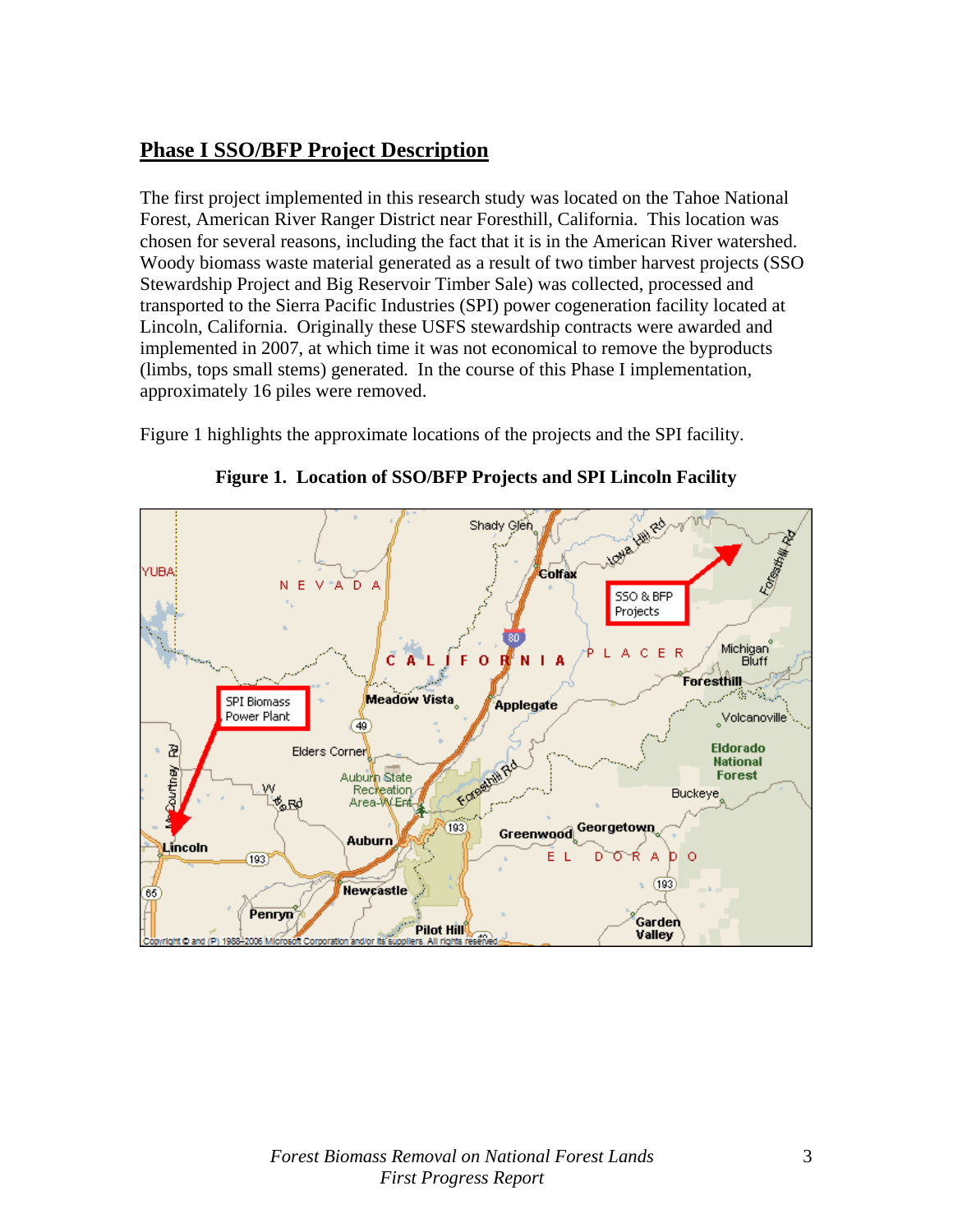### **Phase I SSO/BFP Project Description**

The first project implemented in this research study was located on the Tahoe National Forest, American River Ranger District near Foresthill, California. This location was chosen for several reasons, including the fact that it is in the American River watershed. Woody biomass waste material generated as a result of two timber harvest projects (SSO Stewardship Project and Big Reservoir Timber Sale) was collected, processed and transported to the Sierra Pacific Industries (SPI) power cogeneration facility located at Lincoln, California. Originally these USFS stewardship contracts were awarded and implemented in 2007, at which time it was not economical to remove the byproducts (limbs, tops small stems) generated. In the course of this Phase I implementation, approximately 16 piles were removed.

Figure 1 highlights the approximate locations of the projects and the SPI facility.



**Figure 1. Location of SSO/BFP Projects and SPI Lincoln Facility**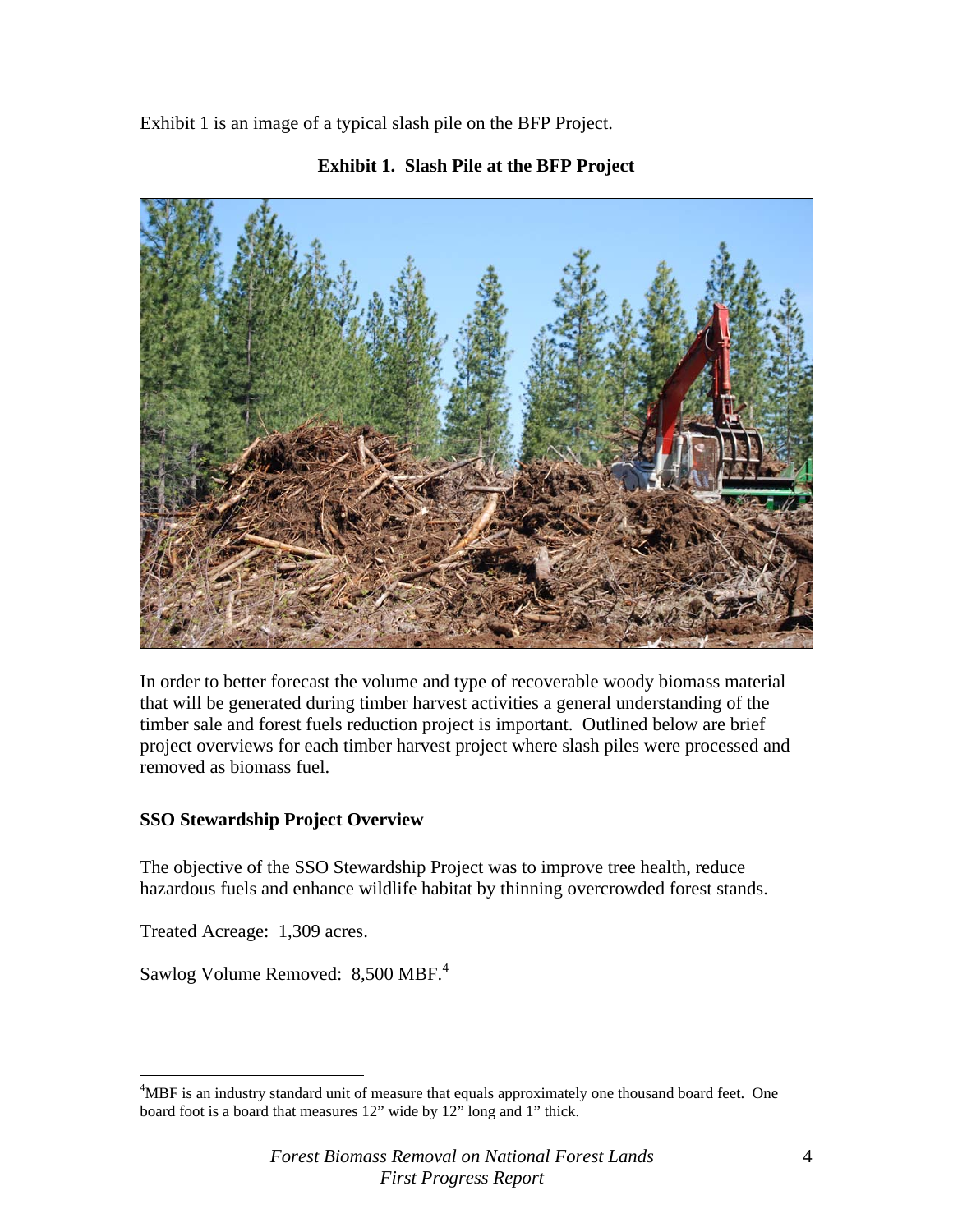Exhibit 1 is an image of a typical slash pile on the BFP Project.



#### **Exhibit 1. Slash Pile at the BFP Project**

In order to better forecast the volume and type of recoverable woody biomass material that will be generated during timber harvest activities a general understanding of the timber sale and forest fuels reduction project is important. Outlined below are brief project overviews for each timber harvest project where slash piles were processed and removed as biomass fuel.

#### **SSO Stewardship Project Overview**

The objective of the SSO Stewardship Project was to improve tree health, reduce hazardous fuels and enhance wildlife habitat by thinning overcrowded forest stands.

Treated Acreage: 1,309 acres.

1

Sawlog Volume Removed: 8,500 MBF.<sup>4</sup>

<sup>&</sup>lt;sup>4</sup>MBF is an industry standard unit of measure that equals approximately one thousand board feet. One board foot is a board that measures 12" wide by 12" long and 1" thick.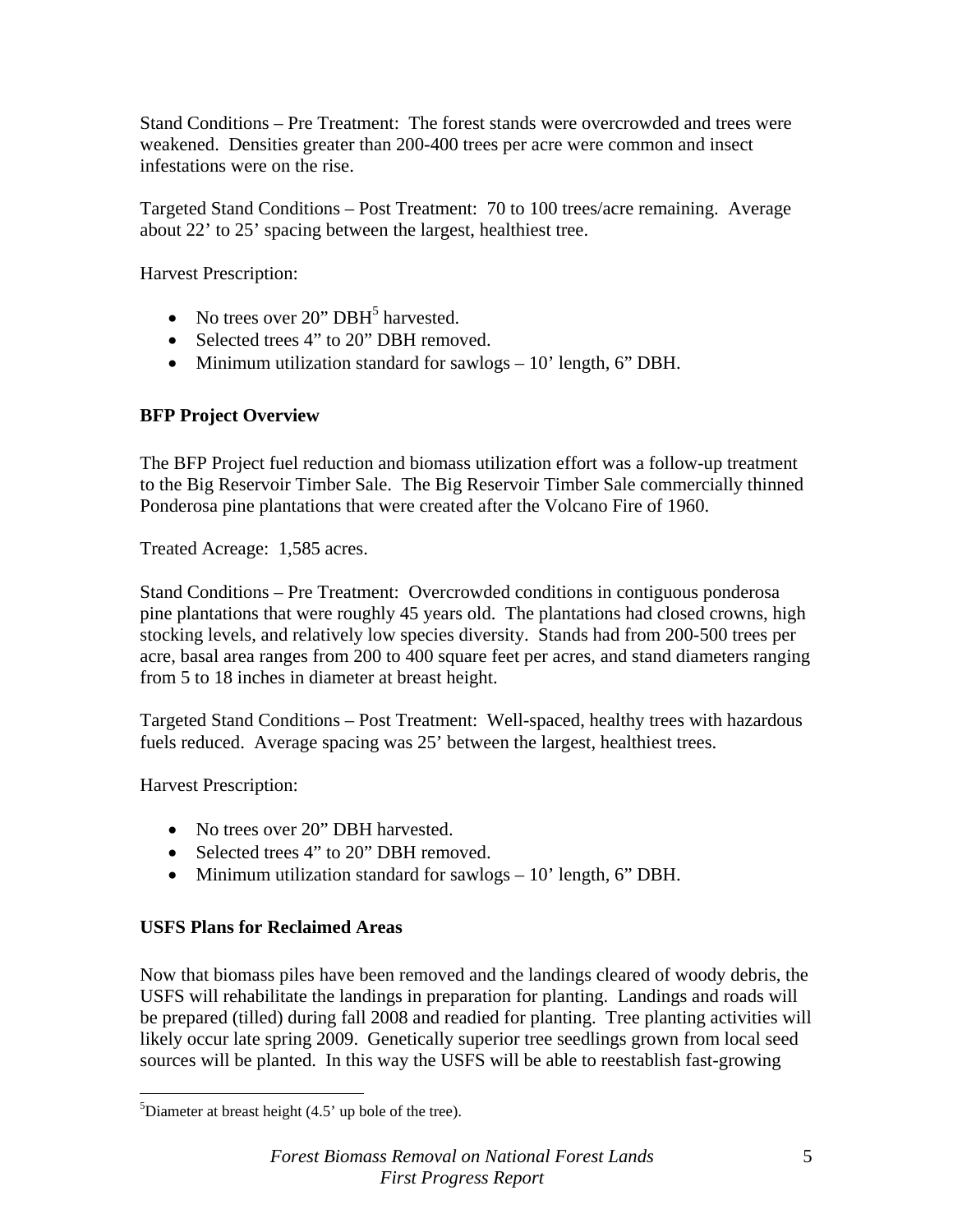Stand Conditions – Pre Treatment: The forest stands were overcrowded and trees were weakened. Densities greater than 200-400 trees per acre were common and insect infestations were on the rise.

Targeted Stand Conditions – Post Treatment: 70 to 100 trees/acre remaining. Average about 22' to 25' spacing between the largest, healthiest tree.

Harvest Prescription:

- No trees over  $20$ " DBH<sup>5</sup> harvested.
- Selected trees 4" to 20" DBH removed.
- Minimum utilization standard for sawlogs 10' length, 6" DBH.

#### **BFP Project Overview**

The BFP Project fuel reduction and biomass utilization effort was a follow-up treatment to the Big Reservoir Timber Sale. The Big Reservoir Timber Sale commercially thinned Ponderosa pine plantations that were created after the Volcano Fire of 1960.

Treated Acreage: 1,585 acres.

Stand Conditions – Pre Treatment: Overcrowded conditions in contiguous ponderosa pine plantations that were roughly 45 years old. The plantations had closed crowns, high stocking levels, and relatively low species diversity. Stands had from 200-500 trees per acre, basal area ranges from 200 to 400 square feet per acres, and stand diameters ranging from 5 to 18 inches in diameter at breast height.

Targeted Stand Conditions – Post Treatment: Well-spaced, healthy trees with hazardous fuels reduced. Average spacing was 25' between the largest, healthiest trees.

Harvest Prescription:

 $\overline{a}$ 

- No trees over 20" DBH harvested.
- Selected trees 4" to 20" DBH removed.
- Minimum utilization standard for sawlogs 10' length, 6" DBH.

#### **USFS Plans for Reclaimed Areas**

Now that biomass piles have been removed and the landings cleared of woody debris, the USFS will rehabilitate the landings in preparation for planting. Landings and roads will be prepared (tilled) during fall 2008 and readied for planting. Tree planting activities will likely occur late spring 2009. Genetically superior tree seedlings grown from local seed sources will be planted. In this way the USFS will be able to reestablish fast-growing

<sup>&</sup>lt;sup>5</sup>Diameter at breast height  $(4.5'$  up bole of the tree).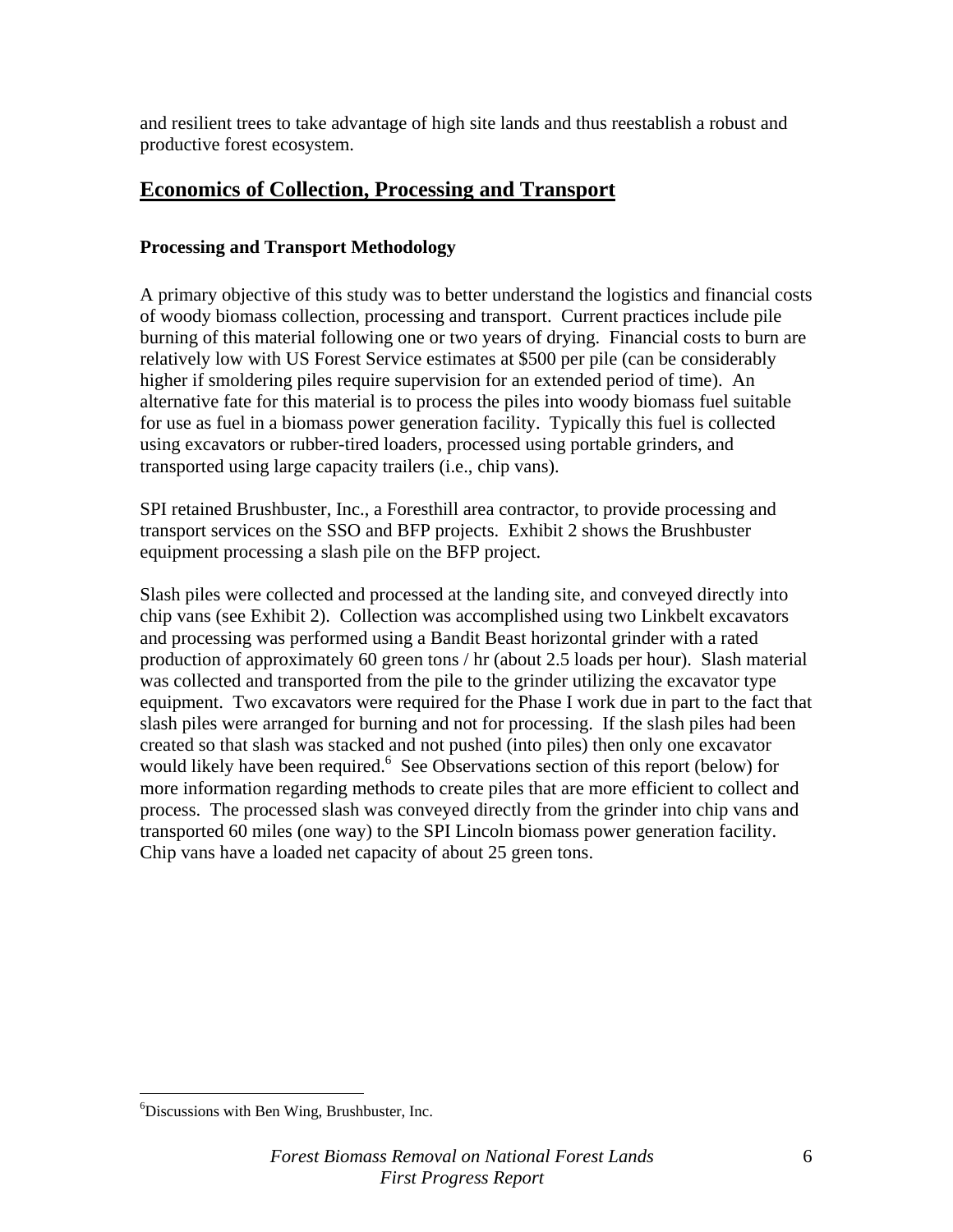and resilient trees to take advantage of high site lands and thus reestablish a robust and productive forest ecosystem.

### **Economics of Collection, Processing and Transport**

#### **Processing and Transport Methodology**

A primary objective of this study was to better understand the logistics and financial costs of woody biomass collection, processing and transport. Current practices include pile burning of this material following one or two years of drying. Financial costs to burn are relatively low with US Forest Service estimates at \$500 per pile (can be considerably higher if smoldering piles require supervision for an extended period of time). An alternative fate for this material is to process the piles into woody biomass fuel suitable for use as fuel in a biomass power generation facility. Typically this fuel is collected using excavators or rubber-tired loaders, processed using portable grinders, and transported using large capacity trailers (i.e., chip vans).

SPI retained Brushbuster, Inc., a Foresthill area contractor, to provide processing and transport services on the SSO and BFP projects. Exhibit 2 shows the Brushbuster equipment processing a slash pile on the BFP project.

Slash piles were collected and processed at the landing site, and conveyed directly into chip vans (see Exhibit 2). Collection was accomplished using two Linkbelt excavators and processing was performed using a Bandit Beast horizontal grinder with a rated production of approximately 60 green tons / hr (about 2.5 loads per hour). Slash material was collected and transported from the pile to the grinder utilizing the excavator type equipment. Two excavators were required for the Phase I work due in part to the fact that slash piles were arranged for burning and not for processing. If the slash piles had been created so that slash was stacked and not pushed (into piles) then only one excavator would likely have been required.<sup>6</sup> See Observations section of this report (below) for more information regarding methods to create piles that are more efficient to collect and process. The processed slash was conveyed directly from the grinder into chip vans and transported 60 miles (one way) to the SPI Lincoln biomass power generation facility. Chip vans have a loaded net capacity of about 25 green tons.

 $\overline{a}$ 

<sup>6</sup> Discussions with Ben Wing, Brushbuster, Inc.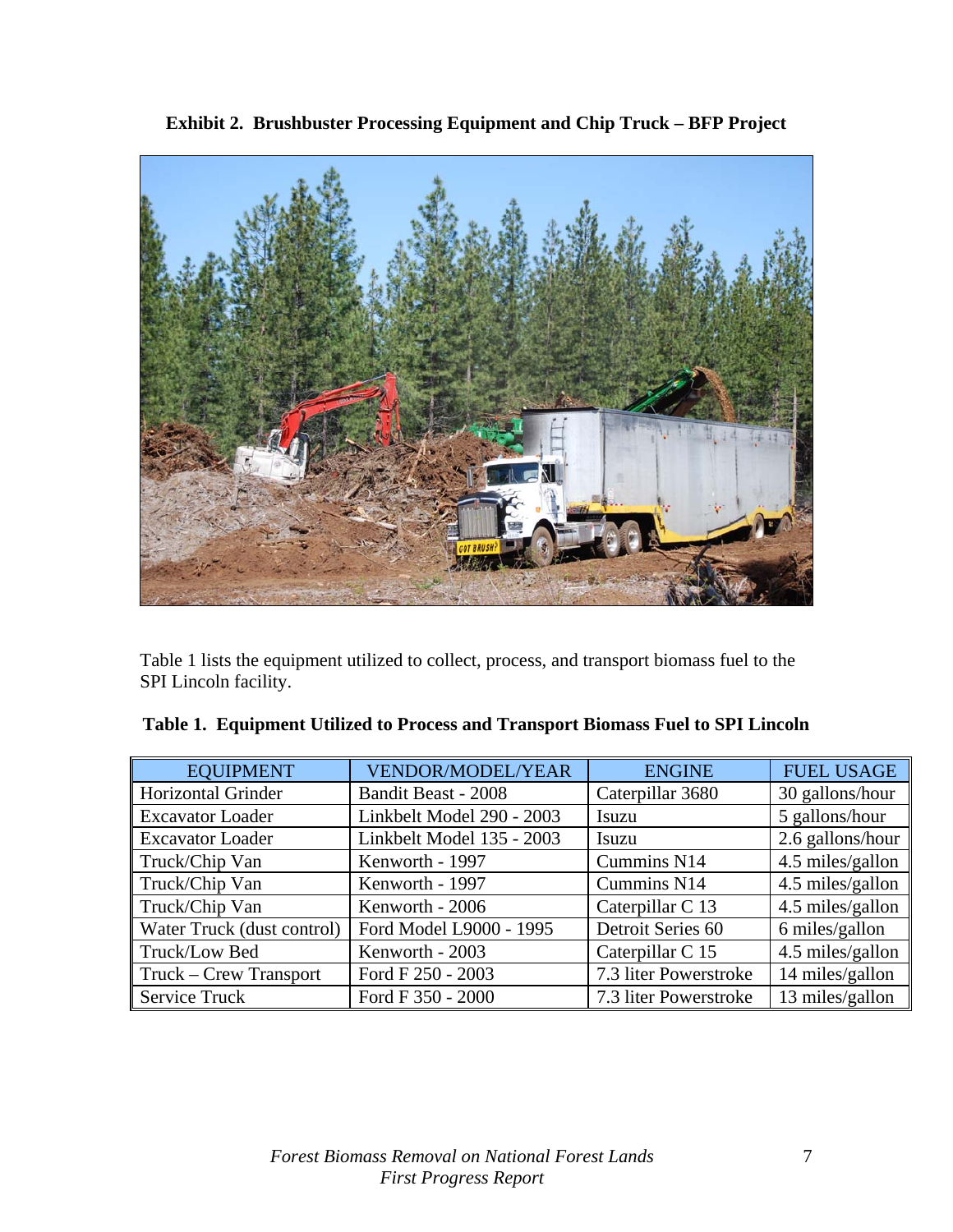

**Exhibit 2. Brushbuster Processing Equipment and Chip Truck – BFP Project** 

Table 1 lists the equipment utilized to collect, process, and transport biomass fuel to the SPI Lincoln facility.

| <b>EQUIPMENT</b>              | <b>VENDOR/MODEL/YEAR</b>   | <b>ENGINE</b>         | <b>FUEL USAGE</b> |
|-------------------------------|----------------------------|-----------------------|-------------------|
| <b>Horizontal Grinder</b>     | <b>Bandit Beast - 2008</b> | Caterpillar 3680      | 30 gallons/hour   |
| <b>Excavator Loader</b>       | Linkbelt Model 290 - 2003  | Isuzu                 | 5 gallons/hour    |
| <b>Excavator Loader</b>       | Linkbelt Model 135 - 2003  | Isuzu                 | 2.6 gallons/hour  |
| Truck/Chip Van                | Kenworth - 1997            | Cummins N14           | 4.5 miles/gallon  |
| Truck/Chip Van                | Kenworth - 1997            | Cummins N14           | 4.5 miles/gallon  |
| Truck/Chip Van                | Kenworth - 2006            | Caterpillar C 13      | 4.5 miles/gallon  |
| Water Truck (dust control)    | Ford Model L9000 - 1995    | Detroit Series 60     | 6 miles/gallon    |
| Truck/Low Bed                 | Kenworth - 2003            | Caterpillar C 15      | 4.5 miles/gallon  |
| <b>Truck – Crew Transport</b> | Ford F 250 - 2003          | 7.3 liter Powerstroke | 14 miles/gallon   |
| <b>Service Truck</b>          | Ford F 350 - 2000          | 7.3 liter Powerstroke | 13 miles/gallon   |

|  | Table 1. Equipment Utilized to Process and Transport Biomass Fuel to SPI Lincoln |  |  |
|--|----------------------------------------------------------------------------------|--|--|
|  |                                                                                  |  |  |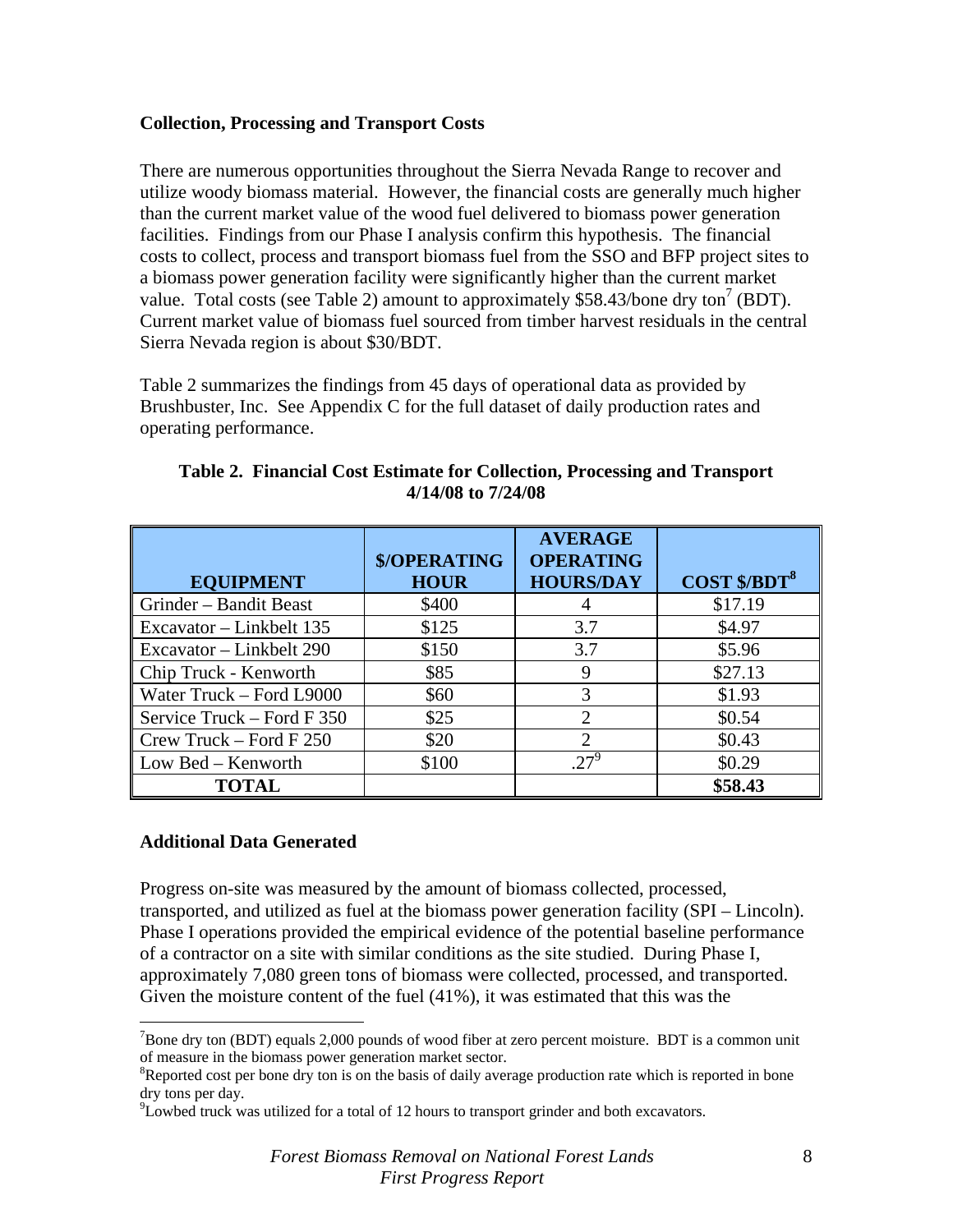#### **Collection, Processing and Transport Costs**

There are numerous opportunities throughout the Sierra Nevada Range to recover and utilize woody biomass material. However, the financial costs are generally much higher than the current market value of the wood fuel delivered to biomass power generation facilities. Findings from our Phase I analysis confirm this hypothesis. The financial costs to collect, process and transport biomass fuel from the SSO and BFP project sites to a biomass power generation facility were significantly higher than the current market value. Total costs (see Table 2) amount to approximately \$58.43/bone dry ton<sup>7</sup> (BDT). Current market value of biomass fuel sourced from timber harvest residuals in the central Sierra Nevada region is about \$30/BDT.

Table 2 summarizes the findings from 45 days of operational data as provided by Brushbuster, Inc. See Appendix C for the full dataset of daily production rates and operating performance.

|                              | <b>\$/OPERATING</b> | <b>AVERAGE</b><br><b>OPERATING</b> |                                |
|------------------------------|---------------------|------------------------------------|--------------------------------|
| <b>EQUIPMENT</b>             | <b>HOUR</b>         | <b>HOURS/DAY</b>                   | <b>COST \$/BDT<sup>8</sup></b> |
| Grinder – Bandit Beast       | \$400               | 4                                  | \$17.19                        |
| Excavator – Linkbelt 135     | \$125               | 3.7                                | \$4.97                         |
| Excavator – Linkbelt 290     | \$150               | 3.7                                | \$5.96                         |
| Chip Truck - Kenworth        | \$85                |                                    | \$27.13                        |
| Water Truck – Ford L9000     | \$60                | 3                                  | \$1.93                         |
| Service Truck – Ford F $350$ | \$25                | $\mathfrak{D}$                     | \$0.54                         |
| $Crew$ Truck – Ford F 250    | \$20                | $\mathcal{D}_{\mathcal{L}}$        | \$0.43                         |
| Low Bed – Kenworth           | \$100               | $.27^9$                            | \$0.29                         |
| <b>TOTAL</b>                 |                     |                                    | \$58.43                        |

#### **Table 2. Financial Cost Estimate for Collection, Processing and Transport 4/14/08 to 7/24/08**

#### **Additional Data Generated**

 $\overline{a}$ 

Progress on-site was measured by the amount of biomass collected, processed, transported, and utilized as fuel at the biomass power generation facility (SPI – Lincoln). Phase I operations provided the empirical evidence of the potential baseline performance of a contractor on a site with similar conditions as the site studied. During Phase I, approximately 7,080 green tons of biomass were collected, processed, and transported. Given the moisture content of the fuel (41%), it was estimated that this was the

 $7$ Bone dry ton (BDT) equals 2,000 pounds of wood fiber at zero percent moisture. BDT is a common unit of measure in the biomass power generation market sector.

<sup>&</sup>lt;sup>8</sup>Reported cost per bone dry ton is on the basis of daily average production rate which is reported in bone dry tons per day.

*PLowbed truck was utilized for a total of 12 hours to transport grinder and both excavators.*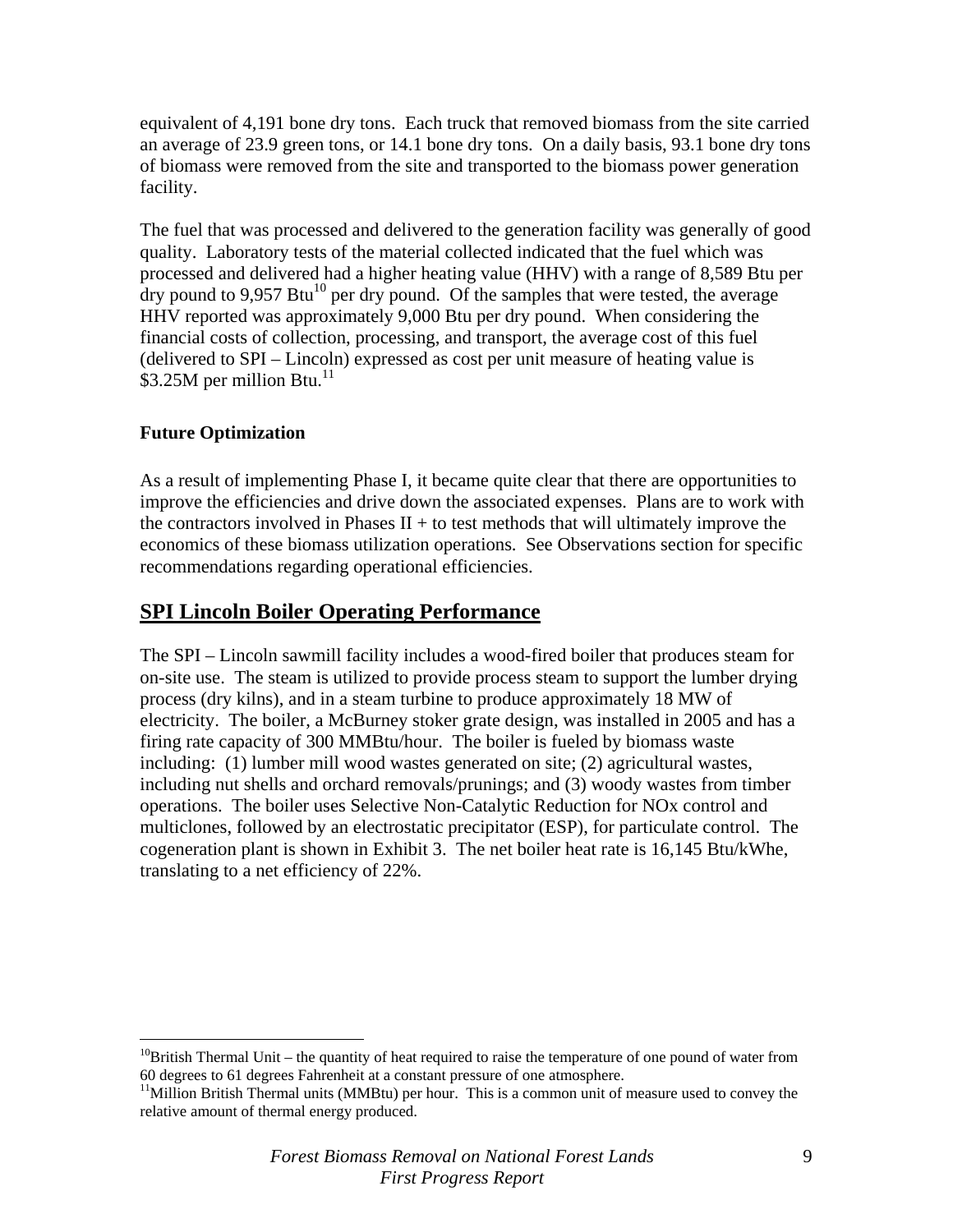equivalent of 4,191 bone dry tons. Each truck that removed biomass from the site carried an average of 23.9 green tons, or 14.1 bone dry tons. On a daily basis, 93.1 bone dry tons of biomass were removed from the site and transported to the biomass power generation facility.

The fuel that was processed and delivered to the generation facility was generally of good quality. Laboratory tests of the material collected indicated that the fuel which was processed and delivered had a higher heating value (HHV) with a range of 8,589 Btu per dry pound to  $9.957$  Btu<sup>10</sup> per dry pound. Of the samples that were tested, the average HHV reported was approximately 9,000 Btu per dry pound. When considering the financial costs of collection, processing, and transport, the average cost of this fuel (delivered to SPI – Lincoln) expressed as cost per unit measure of heating value is \$3.25M per million Btu.<sup>11</sup>

#### **Future Optimization**

 $\overline{a}$ 

As a result of implementing Phase I, it became quite clear that there are opportunities to improve the efficiencies and drive down the associated expenses. Plans are to work with the contractors involved in Phases  $II +$  to test methods that will ultimately improve the economics of these biomass utilization operations. See Observations section for specific recommendations regarding operational efficiencies.

### **SPI Lincoln Boiler Operating Performance**

The SPI – Lincoln sawmill facility includes a wood-fired boiler that produces steam for on-site use. The steam is utilized to provide process steam to support the lumber drying process (dry kilns), and in a steam turbine to produce approximately 18 MW of electricity. The boiler, a McBurney stoker grate design, was installed in 2005 and has a firing rate capacity of 300 MMBtu/hour. The boiler is fueled by biomass waste including: (1) lumber mill wood wastes generated on site; (2) agricultural wastes, including nut shells and orchard removals/prunings; and (3) woody wastes from timber operations. The boiler uses Selective Non-Catalytic Reduction for NOx control and multiclones, followed by an electrostatic precipitator (ESP), for particulate control. The cogeneration plant is shown in Exhibit 3. The net boiler heat rate is 16,145 Btu/kWhe, translating to a net efficiency of 22%.

<sup>&</sup>lt;sup>10</sup>British Thermal Unit – the quantity of heat required to raise the temperature of one pound of water from 60 degrees to 61 degrees Fahrenheit at a constant pressure of one atmosphere.

 $11$ Million British Thermal units (MMBtu) per hour. This is a common unit of measure used to convey the relative amount of thermal energy produced.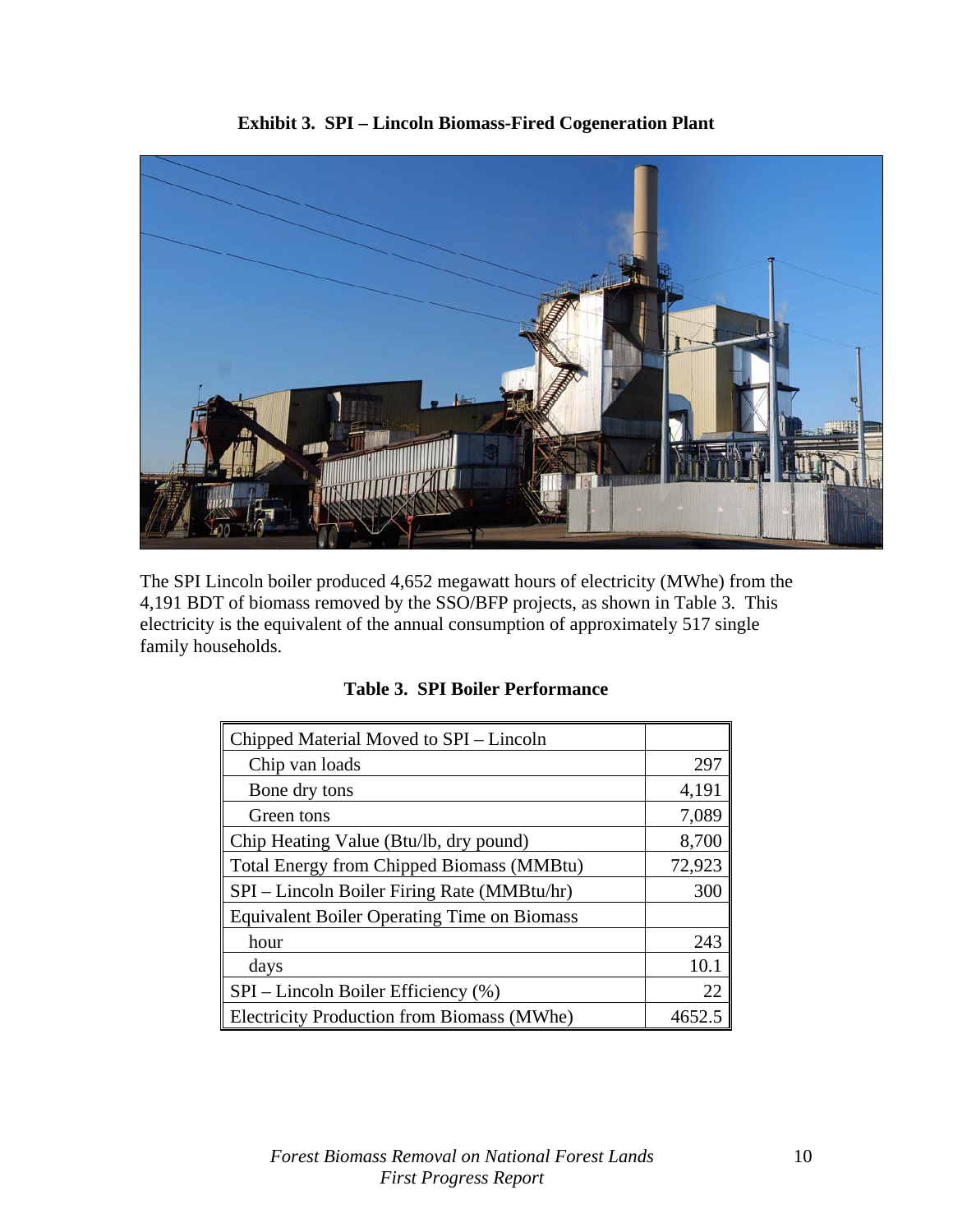

**Exhibit 3. SPI – Lincoln Biomass-Fired Cogeneration Plant** 

The SPI Lincoln boiler produced 4,652 megawatt hours of electricity (MWhe) from the 4,191 BDT of biomass removed by the SSO/BFP projects, as shown in Table 3. This electricity is the equivalent of the annual consumption of approximately 517 single

family households.

| Chipped Material Moved to SPI – Lincoln            |        |
|----------------------------------------------------|--------|
| Chip van loads                                     | 297    |
| Bone dry tons                                      | 4,191  |
| Green tons                                         | 7,089  |
| Chip Heating Value (Btu/lb, dry pound)             | 8,700  |
| <b>Total Energy from Chipped Biomass (MMBtu)</b>   | 72,923 |
| SPI – Lincoln Boiler Firing Rate (MMBtu/hr)        | 300    |
| <b>Equivalent Boiler Operating Time on Biomass</b> |        |
| hour                                               | 243    |
| days                                               | 10.1   |
| SPI – Lincoln Boiler Efficiency (%)                | 22     |
| <b>Electricity Production from Biomass (MWhe)</b>  | 4652.5 |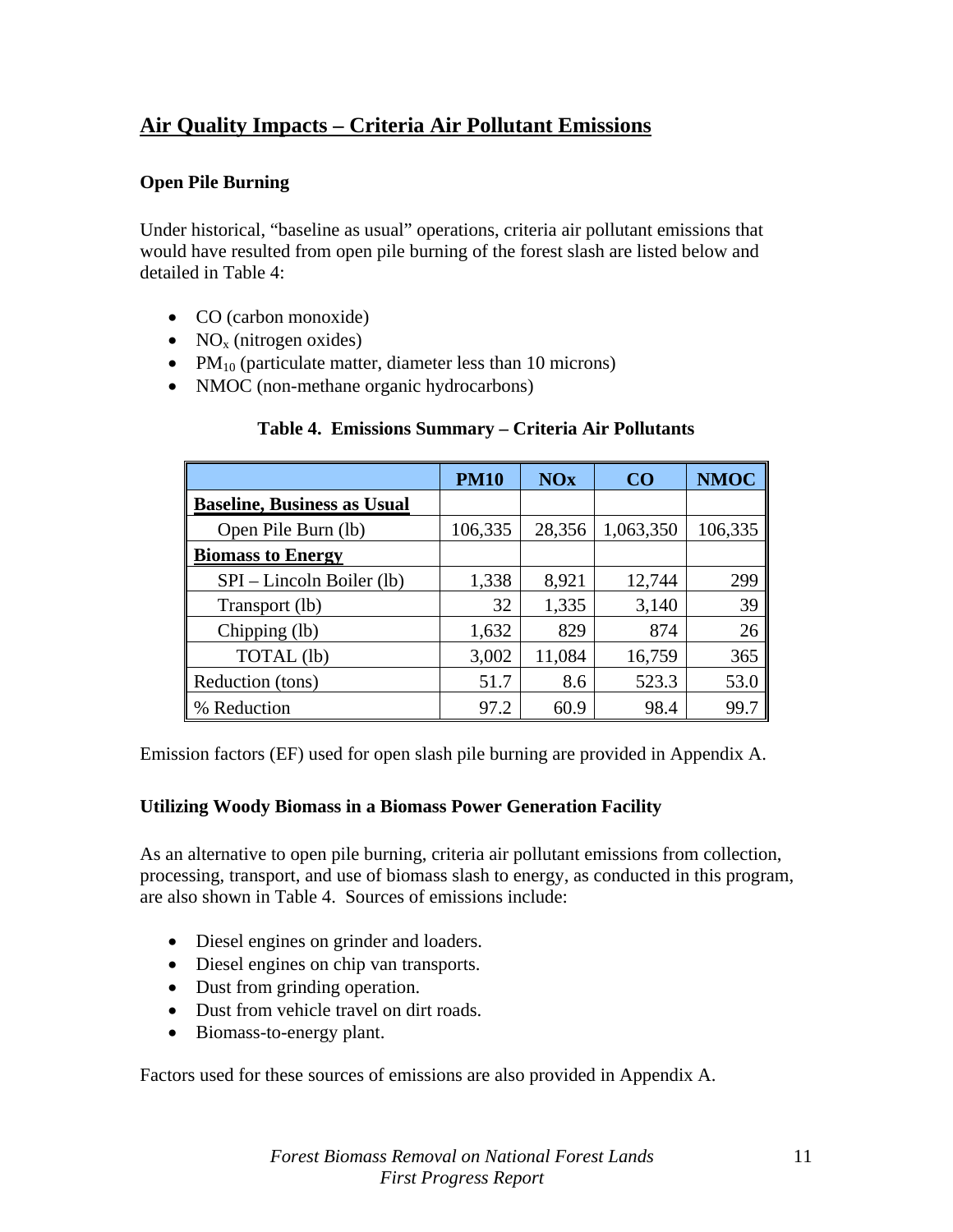### **Air Quality Impacts – Criteria Air Pollutant Emissions**

#### **Open Pile Burning**

Under historical, "baseline as usual" operations, criteria air pollutant emissions that would have resulted from open pile burning of the forest slash are listed below and detailed in Table 4:

- CO (carbon monoxide)
- $NO<sub>x</sub>$  (nitrogen oxides)
- $PM_{10}$  (particulate matter, diameter less than 10 microns)
- NMOC (non-methane organic hydrocarbons)

#### **Table 4. Emissions Summary – Criteria Air Pollutants**

|                                    | <b>PM10</b> | <b>NOx</b> | CO        | <b>NMOC</b> |
|------------------------------------|-------------|------------|-----------|-------------|
| <b>Baseline, Business as Usual</b> |             |            |           |             |
| Open Pile Burn (lb)                | 106,335     | 28,356     | 1,063,350 | 106,335     |
| <b>Biomass to Energy</b>           |             |            |           |             |
| SPI – Lincoln Boiler (lb)          | 1,338       | 8,921      | 12,744    | 299         |
| Transport (lb)                     | 32          | 1,335      | 3,140     | 39          |
| Chipping (lb)                      | 1,632       | 829        | 874       | 26          |
| TOTAL (lb)                         | 3,002       | 11,084     | 16,759    | 365         |
| Reduction (tons)                   | 51.7        | 8.6        | 523.3     | 53.0        |
| % Reduction                        | 97.2        | 60.9       | 98.4      | 99.7        |

Emission factors (EF) used for open slash pile burning are provided in Appendix A.

#### **Utilizing Woody Biomass in a Biomass Power Generation Facility**

As an alternative to open pile burning, criteria air pollutant emissions from collection, processing, transport, and use of biomass slash to energy, as conducted in this program, are also shown in Table 4. Sources of emissions include:

- Diesel engines on grinder and loaders.
- Diesel engines on chip van transports.
- Dust from grinding operation.
- Dust from vehicle travel on dirt roads.
- Biomass-to-energy plant.

Factors used for these sources of emissions are also provided in Appendix A.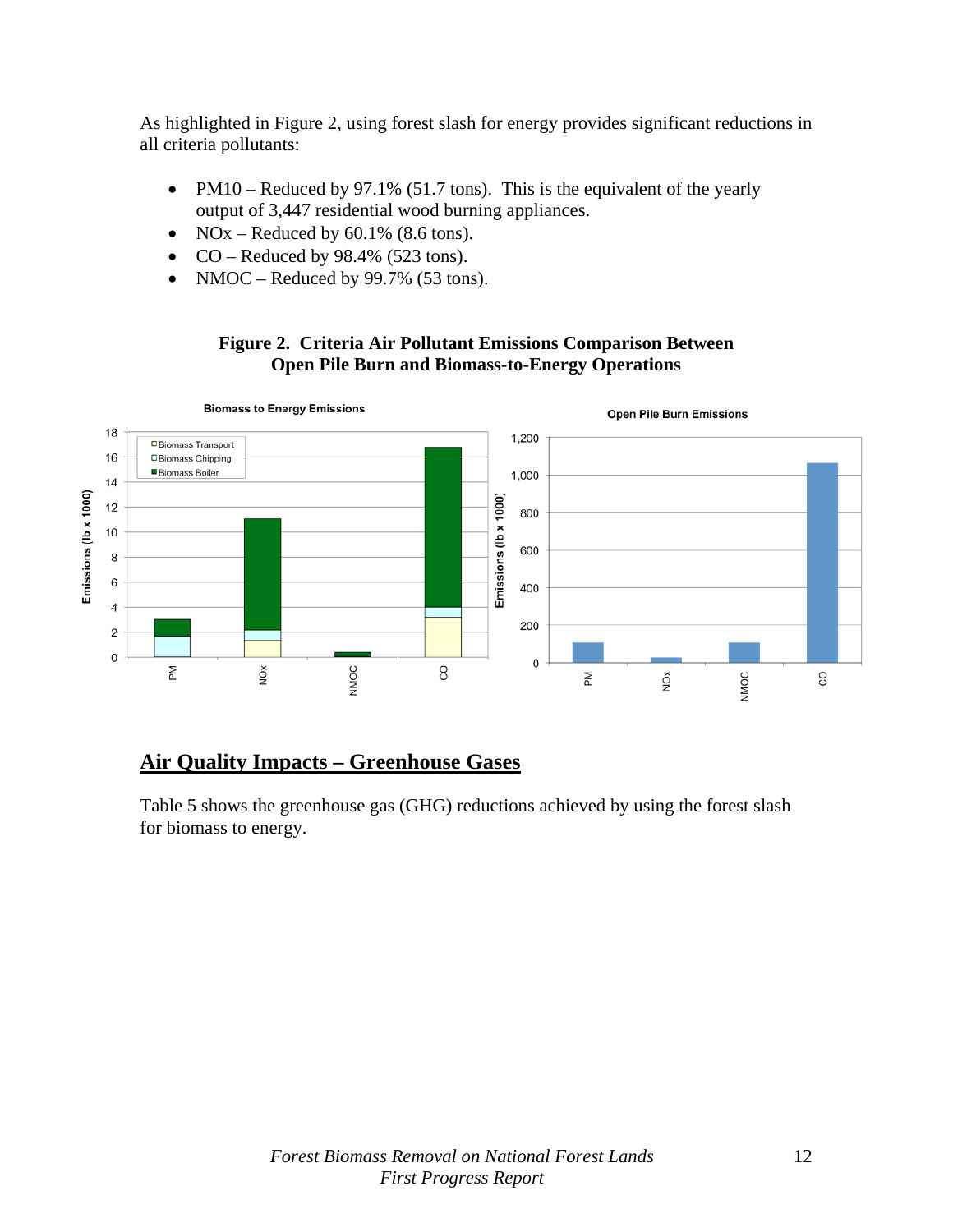As highlighted in Figure 2, using forest slash for energy provides significant reductions in all criteria pollutants:

- PM10 Reduced by 97.1% (51.7 tons). This is the equivalent of the yearly output of 3,447 residential wood burning appliances.
- NOx Reduced by  $60.1\%$  (8.6 tons).
- CO Reduced by  $98.4\%$  (523 tons).
- NMOC Reduced by 99.7% (53 tons).

#### **Figure 2. Criteria Air Pollutant Emissions Comparison Between Open Pile Burn and Biomass-to-Energy Operations**



### **Air Quality Impacts – Greenhouse Gases**

Table 5 shows the greenhouse gas (GHG) reductions achieved by using the forest slash for biomass to energy.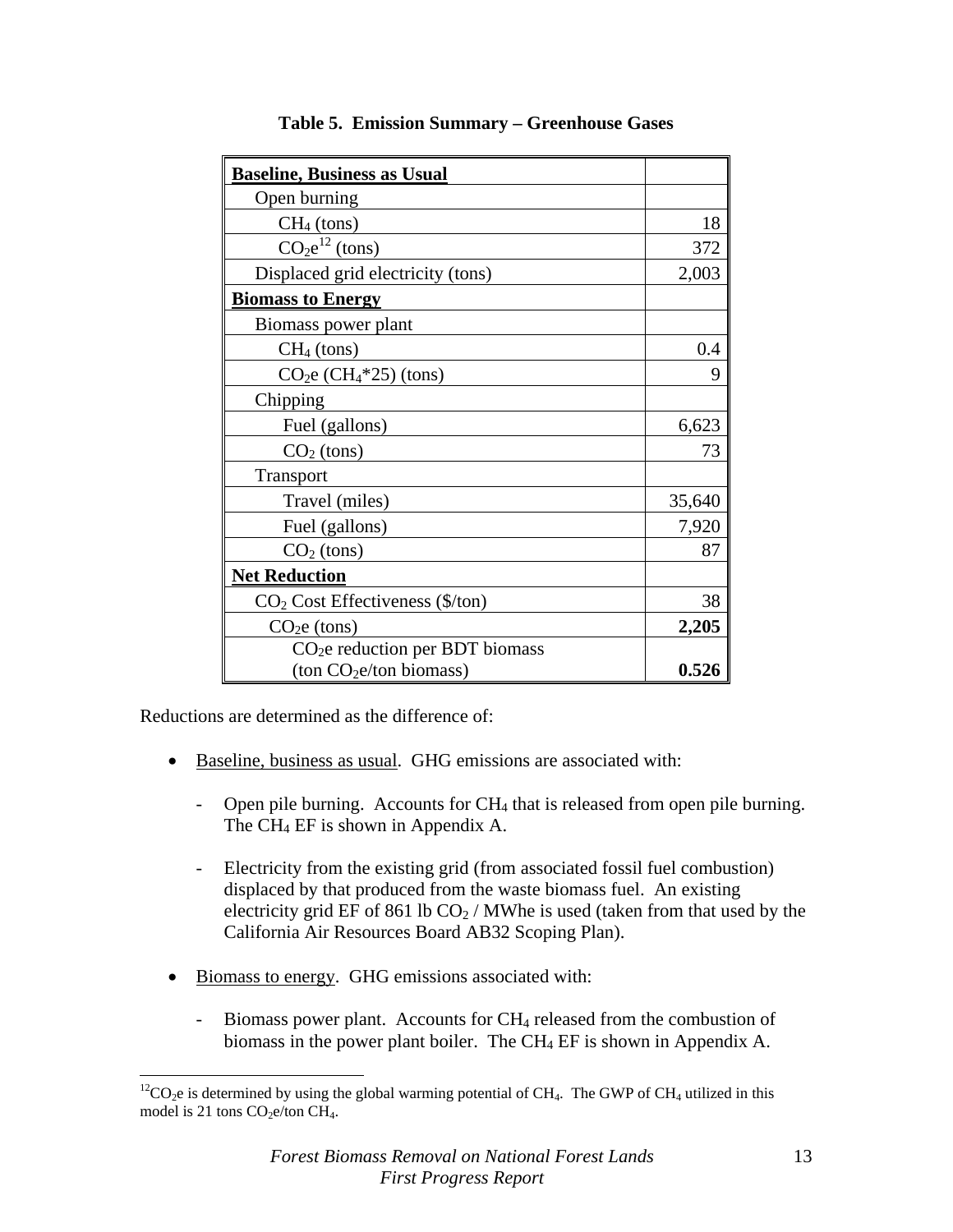| <b>Baseline, Business as Usual</b>                |        |
|---------------------------------------------------|--------|
| Open burning                                      |        |
| $CH4$ (tons)                                      | 18     |
| $CO2e12$ (tons)                                   | 372    |
| Displaced grid electricity (tons)                 | 2,003  |
| <b>Biomass to Energy</b>                          |        |
| Biomass power plant                               |        |
| $CH4$ (tons)                                      | 0.4    |
| $CO2e (CH4*25) (tons)$                            | 9      |
| Chipping                                          |        |
| Fuel (gallons)                                    | 6,623  |
| $CO2$ (tons)                                      | 73     |
| <b>Transport</b>                                  |        |
| Travel (miles)                                    | 35,640 |
| Fuel (gallons)                                    | 7,920  |
| $CO2$ (tons)                                      | 87     |
| <b>Net Reduction</b>                              |        |
| $CO2 Cost Effectiveness ($\text{\textdegree}(\%)$ | 38     |
| $CO2e$ (tons)                                     | 2,205  |
| $CO2e$ reduction per BDT biomass                  |        |
| $($ ton $CO2e$ /ton biomass)                      | 0.526  |

|  |  |  | <b>Table 5. Emission Summary – Greenhouse Gases</b> |  |
|--|--|--|-----------------------------------------------------|--|
|--|--|--|-----------------------------------------------------|--|

Reductions are determined as the difference of:

 $\overline{a}$ 

- Baseline, business as usual. GHG emissions are associated with:
	- Open pile burning. Accounts for  $CH_4$  that is released from open pile burning. The CH4 EF is shown in Appendix A.
	- Electricity from the existing grid (from associated fossil fuel combustion) displaced by that produced from the waste biomass fuel. An existing electricity grid EF of 861 lb  $CO<sub>2</sub>$  / MWhe is used (taken from that used by the California Air Resources Board AB32 Scoping Plan).
- Biomass to energy. GHG emissions associated with:
	- Biomass power plant. Accounts for  $CH_4$  released from the combustion of biomass in the power plant boiler. The CH4 EF is shown in Appendix A.

 ${}^{12}CO_2$ e is determined by using the global warming potential of CH<sub>4</sub>. The GWP of CH<sub>4</sub> utilized in this model is 21 tons  $CO<sub>2</sub>e/ton CH<sub>4</sub>$ .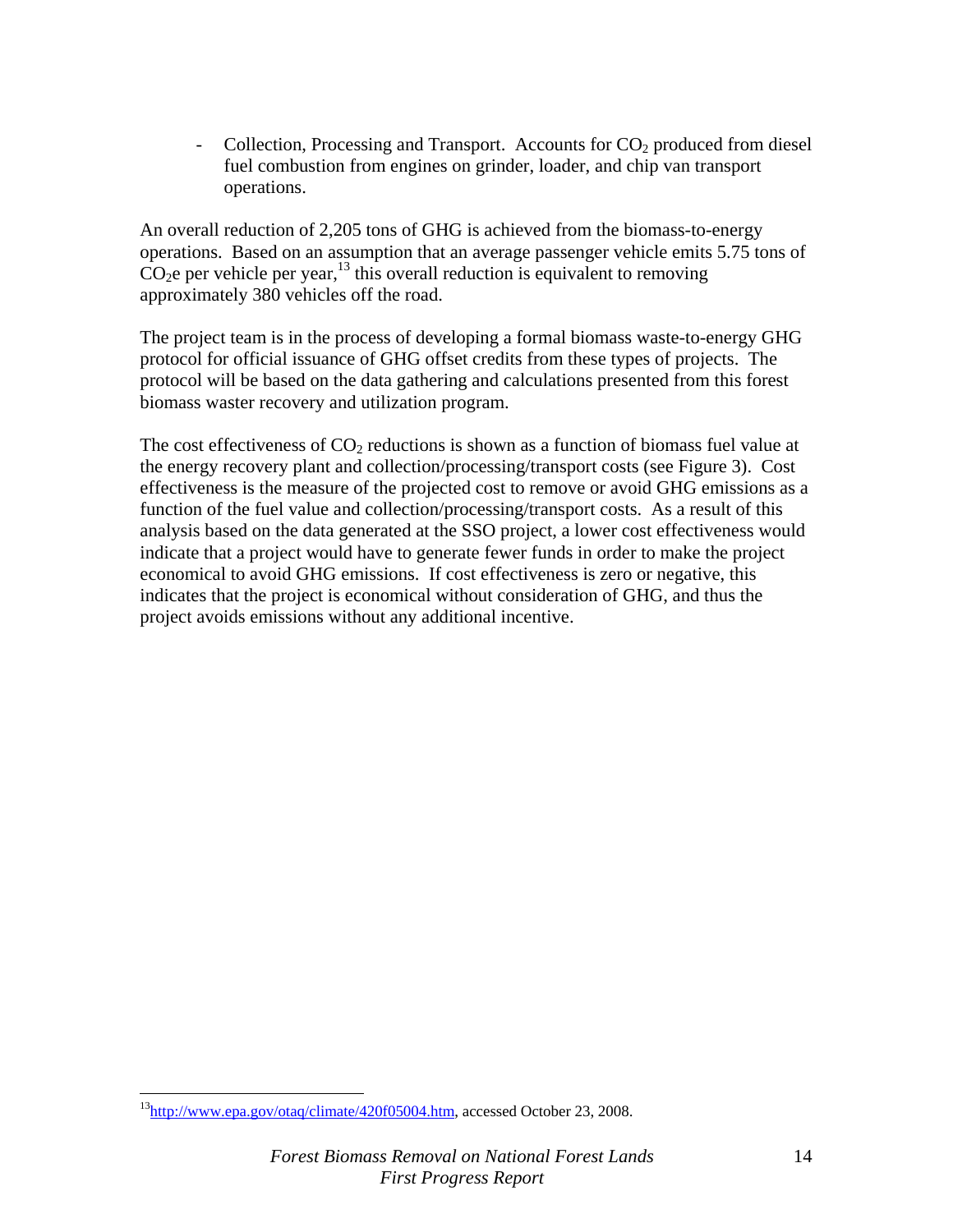$Collection$ , Processing and Transport. Accounts for  $CO<sub>2</sub>$  produced from diesel fuel combustion from engines on grinder, loader, and chip van transport operations.

An overall reduction of 2,205 tons of GHG is achieved from the biomass-to-energy operations. Based on an assumption that an average passenger vehicle emits 5.75 tons of  $CO<sub>2</sub>e$  per vehicle per year,<sup>13</sup> this overall reduction is equivalent to removing approximately 380 vehicles off the road.

The project team is in the process of developing a formal biomass waste-to-energy GHG protocol for official issuance of GHG offset credits from these types of projects. The protocol will be based on the data gathering and calculations presented from this forest biomass waster recovery and utilization program.

The cost effectiveness of  $CO<sub>2</sub>$  reductions is shown as a function of biomass fuel value at the energy recovery plant and collection/processing/transport costs (see Figure 3). Cost effectiveness is the measure of the projected cost to remove or avoid GHG emissions as a function of the fuel value and collection/processing/transport costs. As a result of this analysis based on the data generated at the SSO project, a lower cost effectiveness would indicate that a project would have to generate fewer funds in order to make the project economical to avoid GHG emissions. If cost effectiveness is zero or negative, this indicates that the project is economical without consideration of GHG, and thus the project avoids emissions without any additional incentive.

 $\overline{a}$ 

<sup>13</sup>http://www.epa.gov/otaq/climate/420f05004.htm, accessed October 23, 2008.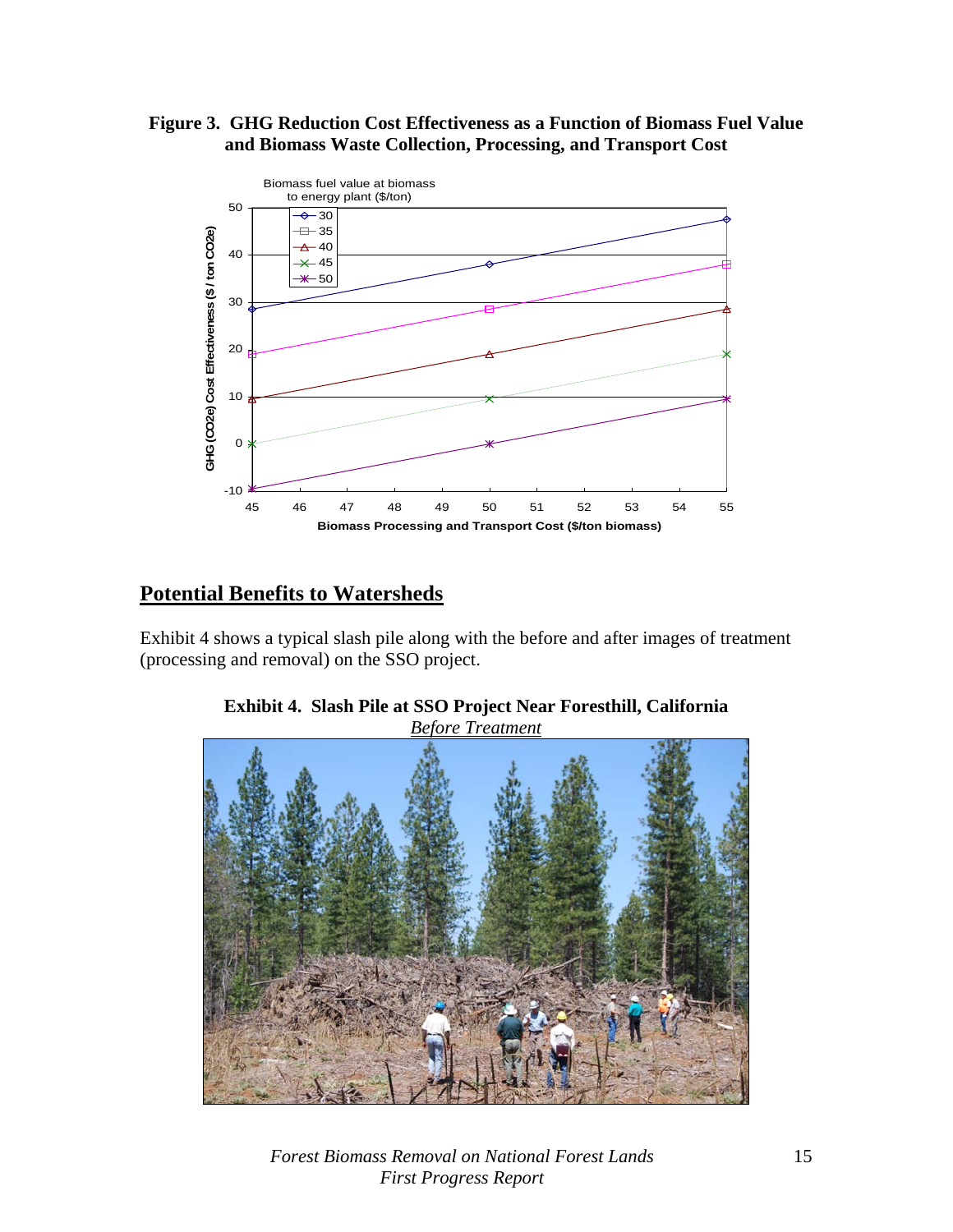#### **Figure 3. GHG Reduction Cost Effectiveness as a Function of Biomass Fuel Value and Biomass Waste Collection, Processing, and Transport Cost**



## **Potential Benefits to Watersheds**

Exhibit 4 shows a typical slash pile along with the before and after images of treatment (processing and removal) on the SSO project.



**Exhibit 4. Slash Pile at SSO Project Near Foresthill, California**  *Before Treatment*

*Forest Biomass Removal on National Forest Lands First Progress Report*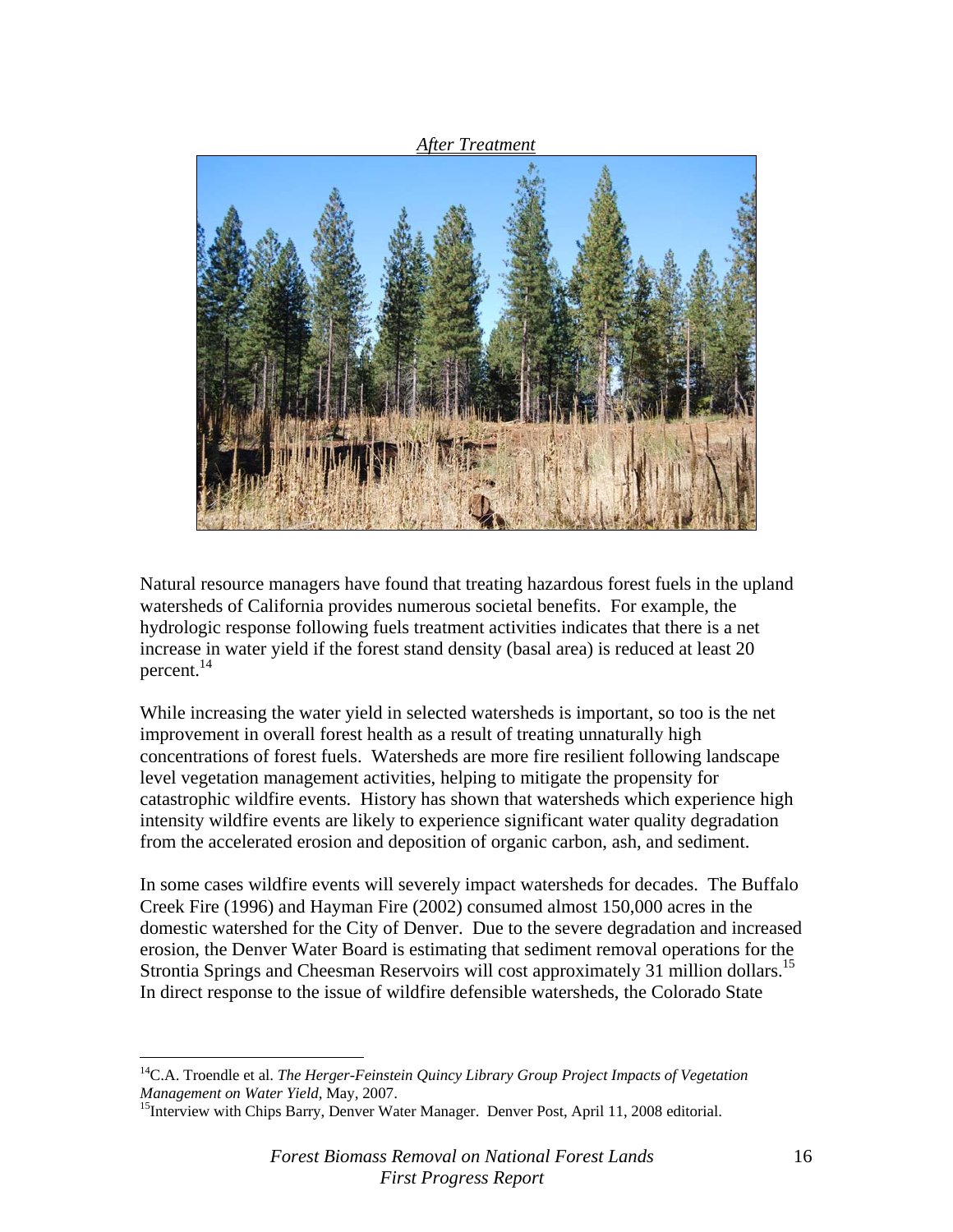*After Treatment*



Natural resource managers have found that treating hazardous forest fuels in the upland watersheds of California provides numerous societal benefits. For example, the hydrologic response following fuels treatment activities indicates that there is a net increase in water yield if the forest stand density (basal area) is reduced at least 20 percent. $^{14}$ 

While increasing the water yield in selected watersheds is important, so too is the net improvement in overall forest health as a result of treating unnaturally high concentrations of forest fuels. Watersheds are more fire resilient following landscape level vegetation management activities, helping to mitigate the propensity for catastrophic wildfire events. History has shown that watersheds which experience high intensity wildfire events are likely to experience significant water quality degradation from the accelerated erosion and deposition of organic carbon, ash, and sediment.

In some cases wildfire events will severely impact watersheds for decades. The Buffalo Creek Fire (1996) and Hayman Fire (2002) consumed almost 150,000 acres in the domestic watershed for the City of Denver. Due to the severe degradation and increased erosion, the Denver Water Board is estimating that sediment removal operations for the Strontia Springs and Cheesman Reservoirs will cost approximately 31 million dollars.<sup>15</sup> In direct response to the issue of wildfire defensible watersheds, the Colorado State

 $\overline{a}$ 

<sup>14</sup>C.A. Troendle et al. *The Herger-Feinstein Quincy Library Group Project Impacts of Vegetation Management on Water Yield, May, 2007.*<br><sup>15</sup>Interview with Chips Barry, Denver Water Manager. Denver Post, April 11, 2008 editorial.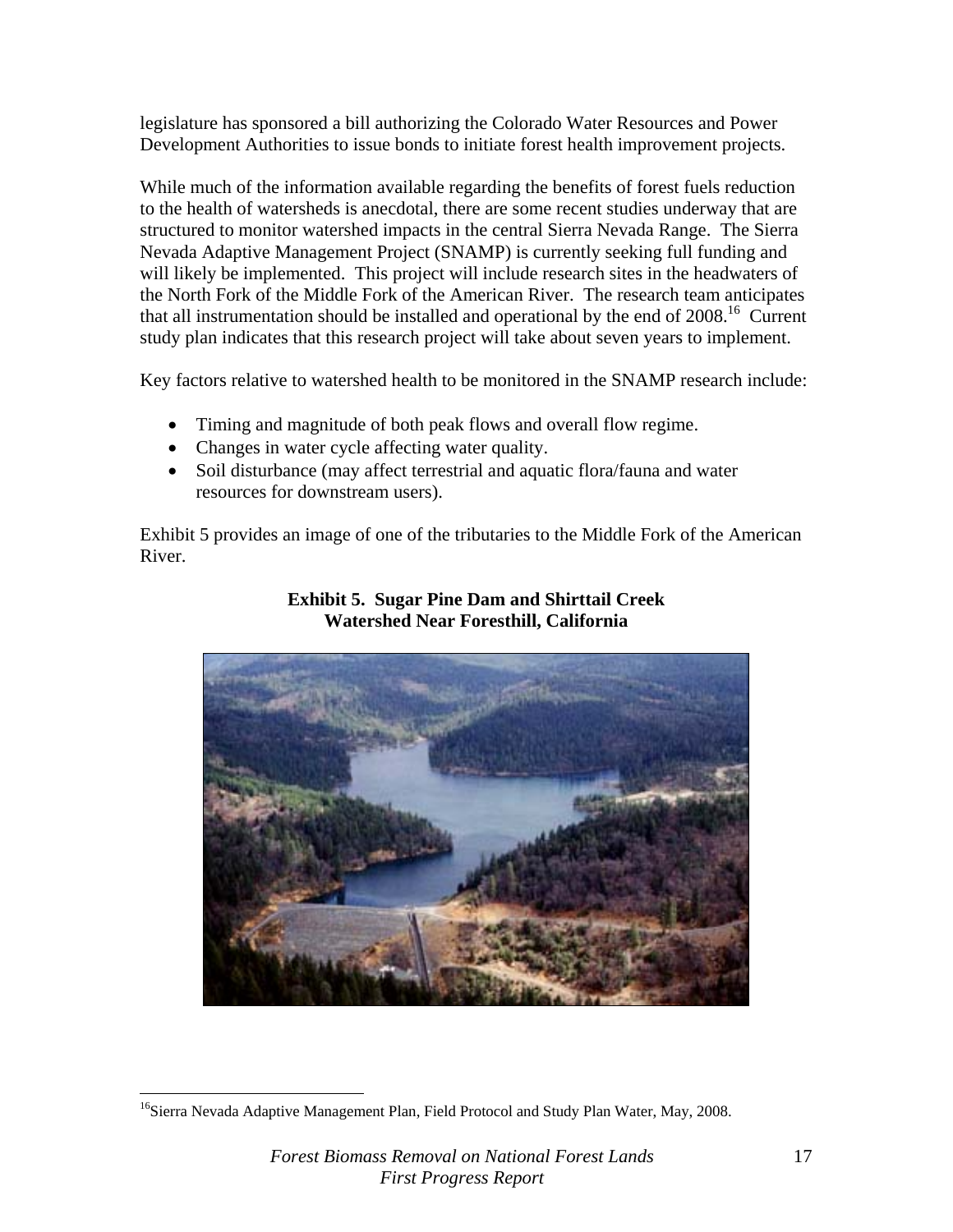legislature has sponsored a bill authorizing the Colorado Water Resources and Power Development Authorities to issue bonds to initiate forest health improvement projects.

While much of the information available regarding the benefits of forest fuels reduction to the health of watersheds is anecdotal, there are some recent studies underway that are structured to monitor watershed impacts in the central Sierra Nevada Range. The Sierra Nevada Adaptive Management Project (SNAMP) is currently seeking full funding and will likely be implemented. This project will include research sites in the headwaters of the North Fork of the Middle Fork of the American River. The research team anticipates that all instrumentation should be installed and operational by the end of  $2008$ <sup>16</sup> Current study plan indicates that this research project will take about seven years to implement.

Key factors relative to watershed health to be monitored in the SNAMP research include:

- Timing and magnitude of both peak flows and overall flow regime.
- Changes in water cycle affecting water quality.
- Soil disturbance (may affect terrestrial and aquatic flora/fauna and water resources for downstream users).

Exhibit 5 provides an image of one of the tributaries to the Middle Fork of the American River.



#### **Exhibit 5. Sugar Pine Dam and Shirttail Creek Watershed Near Foresthill, California**

<u>.</u>

<sup>&</sup>lt;sup>16</sup>Sierra Nevada Adaptive Management Plan, Field Protocol and Study Plan Water, May, 2008.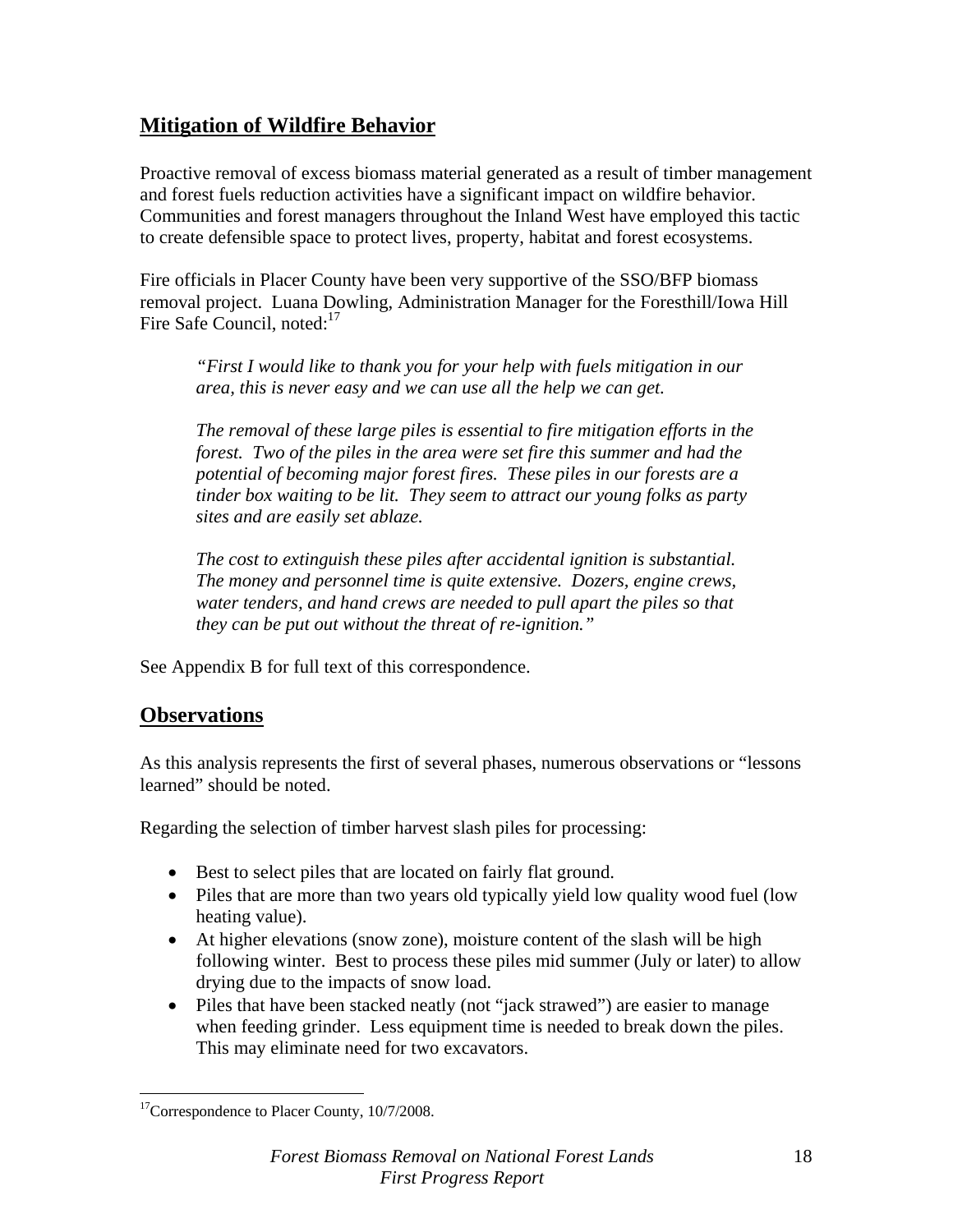### **Mitigation of Wildfire Behavior**

Proactive removal of excess biomass material generated as a result of timber management and forest fuels reduction activities have a significant impact on wildfire behavior. Communities and forest managers throughout the Inland West have employed this tactic to create defensible space to protect lives, property, habitat and forest ecosystems.

Fire officials in Placer County have been very supportive of the SSO/BFP biomass removal project. Luana Dowling, Administration Manager for the Foresthill/Iowa Hill Fire Safe Council, noted:<sup>17</sup>

*"First I would like to thank you for your help with fuels mitigation in our area, this is never easy and we can use all the help we can get.* 

*The removal of these large piles is essential to fire mitigation efforts in the forest. Two of the piles in the area were set fire this summer and had the potential of becoming major forest fires. These piles in our forests are a tinder box waiting to be lit. They seem to attract our young folks as party sites and are easily set ablaze.* 

*The cost to extinguish these piles after accidental ignition is substantial. The money and personnel time is quite extensive. Dozers, engine crews, water tenders, and hand crews are needed to pull apart the piles so that they can be put out without the threat of re-ignition."* 

See Appendix B for full text of this correspondence.

### **Observations**

As this analysis represents the first of several phases, numerous observations or "lessons learned" should be noted.

Regarding the selection of timber harvest slash piles for processing:

- Best to select piles that are located on fairly flat ground.
- Piles that are more than two years old typically yield low quality wood fuel (low heating value).
- At higher elevations (snow zone), moisture content of the slash will be high following winter. Best to process these piles mid summer (July or later) to allow drying due to the impacts of snow load.
- Piles that have been stacked neatly (not "jack strawed") are easier to manage when feeding grinder. Less equipment time is needed to break down the piles. This may eliminate need for two excavators.

 $\overline{a}$ <sup>17</sup>Correspondence to Placer County, 10/7/2008.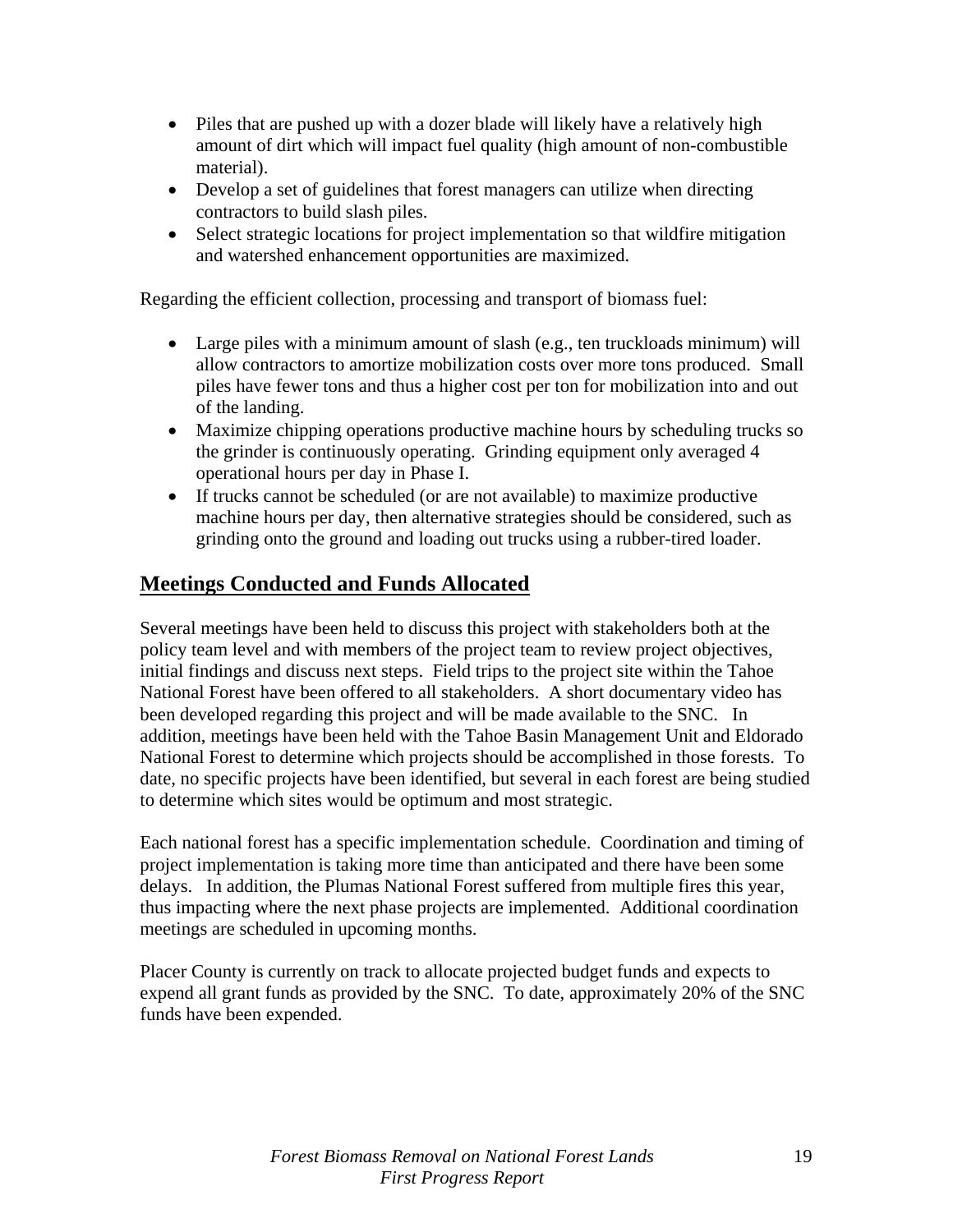- Piles that are pushed up with a dozer blade will likely have a relatively high amount of dirt which will impact fuel quality (high amount of non-combustible material).
- Develop a set of guidelines that forest managers can utilize when directing contractors to build slash piles.
- Select strategic locations for project implementation so that wildfire mitigation and watershed enhancement opportunities are maximized.

Regarding the efficient collection, processing and transport of biomass fuel:

- Large piles with a minimum amount of slash (e.g., ten truckloads minimum) will allow contractors to amortize mobilization costs over more tons produced. Small piles have fewer tons and thus a higher cost per ton for mobilization into and out of the landing.
- Maximize chipping operations productive machine hours by scheduling trucks so the grinder is continuously operating. Grinding equipment only averaged 4 operational hours per day in Phase I.
- If trucks cannot be scheduled (or are not available) to maximize productive machine hours per day, then alternative strategies should be considered, such as grinding onto the ground and loading out trucks using a rubber-tired loader.

## **Meetings Conducted and Funds Allocated**

Several meetings have been held to discuss this project with stakeholders both at the policy team level and with members of the project team to review project objectives, initial findings and discuss next steps. Field trips to the project site within the Tahoe National Forest have been offered to all stakeholders. A short documentary video has been developed regarding this project and will be made available to the SNC. In addition, meetings have been held with the Tahoe Basin Management Unit and Eldorado National Forest to determine which projects should be accomplished in those forests. To date, no specific projects have been identified, but several in each forest are being studied to determine which sites would be optimum and most strategic.

Each national forest has a specific implementation schedule. Coordination and timing of project implementation is taking more time than anticipated and there have been some delays. In addition, the Plumas National Forest suffered from multiple fires this year, thus impacting where the next phase projects are implemented. Additional coordination meetings are scheduled in upcoming months.

Placer County is currently on track to allocate projected budget funds and expects to expend all grant funds as provided by the SNC. To date, approximately 20% of the SNC funds have been expended.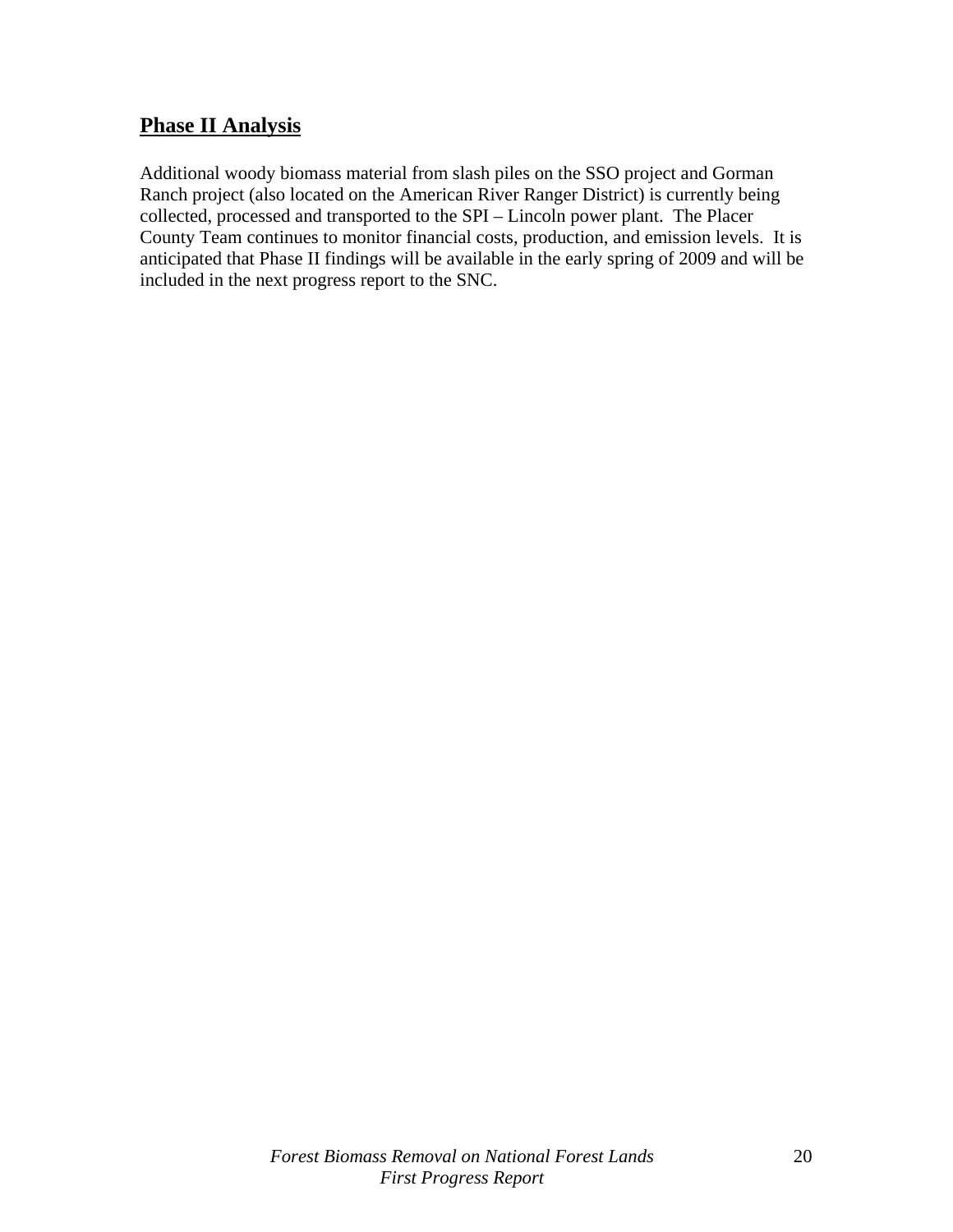### **Phase II Analysis**

Additional woody biomass material from slash piles on the SSO project and Gorman Ranch project (also located on the American River Ranger District) is currently being collected, processed and transported to the SPI – Lincoln power plant. The Placer County Team continues to monitor financial costs, production, and emission levels. It is anticipated that Phase II findings will be available in the early spring of 2009 and will be included in the next progress report to the SNC.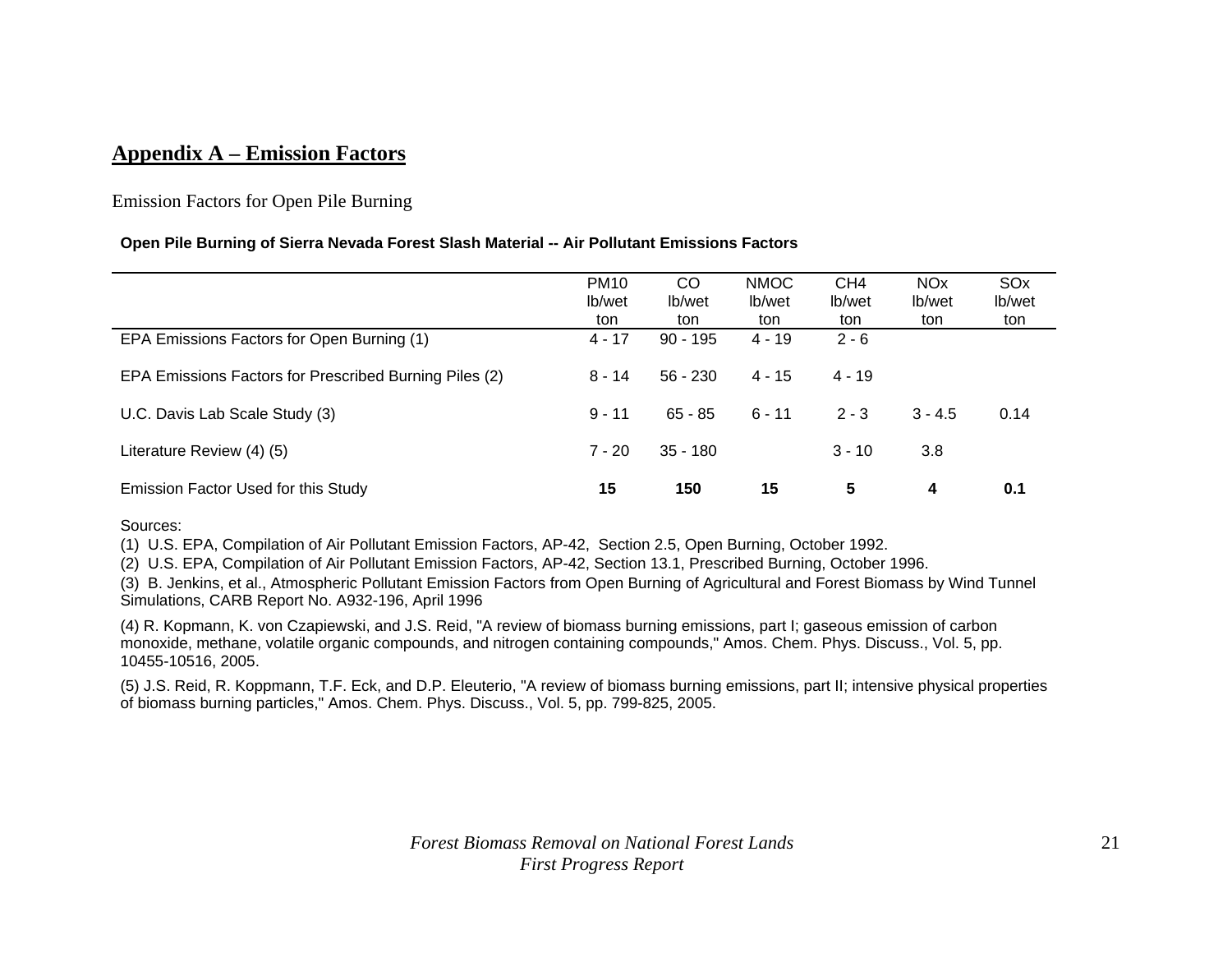### **Appendix A – Emission Factors**

#### Emission Factors for Open Pile Burning

#### **Open Pile Burning of Sierra Nevada Forest Slash Material -- Air Pollutant Emissions Factors**

|                                                        | <b>PM10</b><br>lb/wet<br>ton | <sub>CO</sub><br>lb/wet<br>ton | <b>NMOC</b><br>lb/wet<br>ton | CH <sub>4</sub><br>lb/wet<br>ton | <b>NO<sub>x</sub></b><br>lb/wet<br>ton | SO <sub>x</sub><br>lb/wet<br>ton |
|--------------------------------------------------------|------------------------------|--------------------------------|------------------------------|----------------------------------|----------------------------------------|----------------------------------|
| EPA Emissions Factors for Open Burning (1)             | $4 - 17$                     | $90 - 195$                     | $4 - 19$                     | $2 - 6$                          |                                        |                                  |
| EPA Emissions Factors for Prescribed Burning Piles (2) | 8 - 14                       | $56 - 230$                     | $4 - 15$                     | $4 - 19$                         |                                        |                                  |
| U.C. Davis Lab Scale Study (3)                         | $9 - 11$                     | $65 - 85$                      | $6 - 11$                     | $2 - 3$                          | $3 - 4.5$                              | 0.14                             |
| Literature Review (4) (5)                              | $7 - 20$                     | $35 - 180$                     |                              | $3 - 10$                         | 3.8                                    |                                  |
| Emission Factor Used for this Study                    | 15                           | 150                            | 15                           | 5                                | 4                                      | 0.1                              |

Sources:

(1) U.S. EPA, Compilation of Air Pollutant Emission Factors, AP-42, Section 2.5, Open Burning, October 1992.

(2) U.S. EPA, Compilation of Air Pollutant Emission Factors, AP-42, Section 13.1, Prescribed Burning, October 1996.

(3) B. Jenkins, et al., Atmospheric Pollutant Emission Factors from Open Burning of Agricultural and Forest Biomass by Wind Tunnel Simulations, CARB Report No. A932-196, April 1996

(4) R. Kopmann, K. von Czapiewski, and J.S. Reid, "A review of biomass burning emissions, part I; gaseous emission of carbon monoxide, methane, volatile organic compounds, and nitrogen containing compounds," Amos. Chem. Phys. Discuss., Vol. 5, pp. 10455-10516, 2005.

(5) J.S. Reid, R. Koppmann, T.F. Eck, and D.P. Eleuterio, "A review of biomass burning emissions, part II; intensive physical properties of biomass burning particles," Amos. Chem. Phys. Discuss., Vol. 5, pp. 799-825, 2005.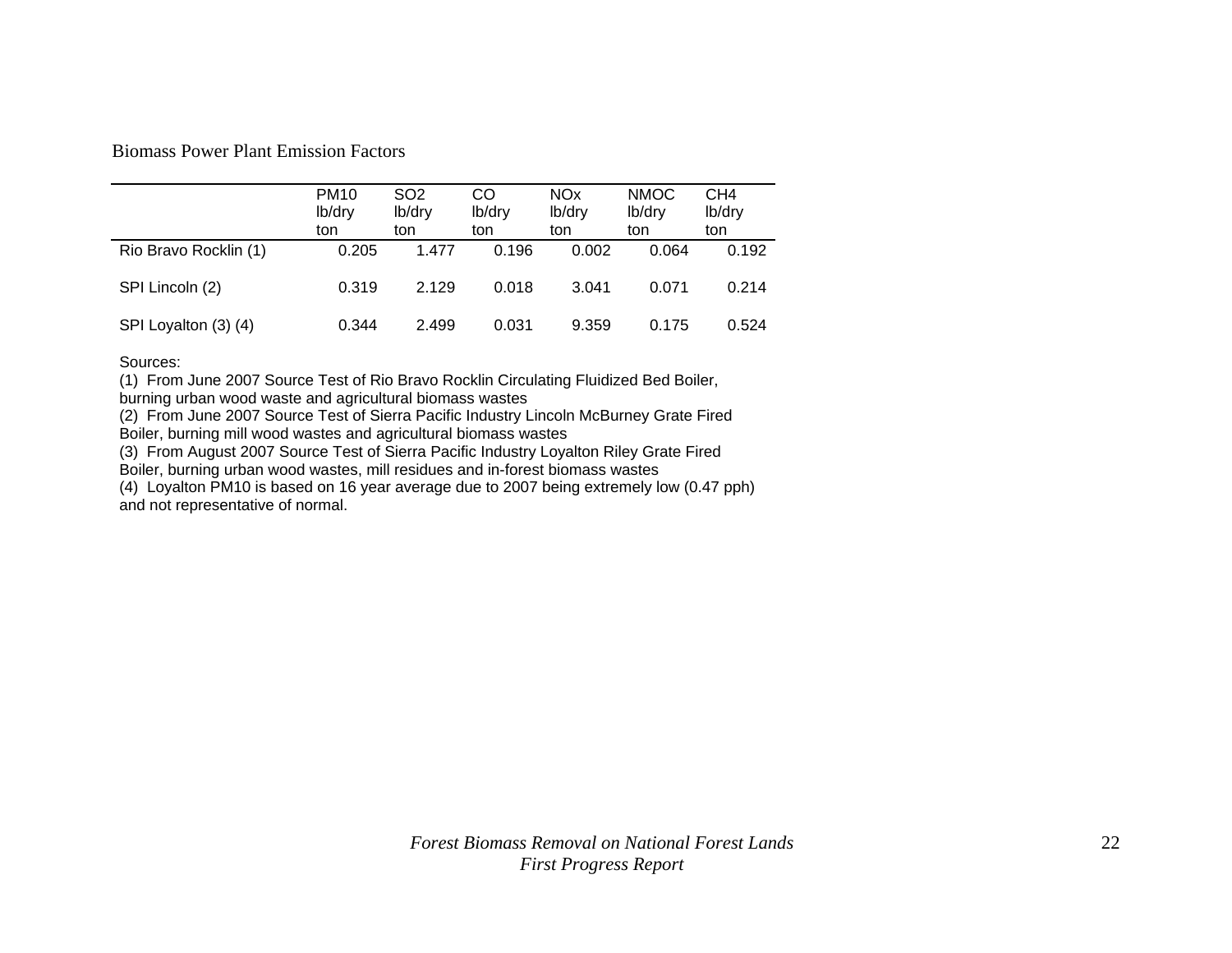Biomass Power Plant Emission Factors

|                       | <b>PM10</b><br>lb/dry<br>ton | SO <sub>2</sub><br>lb/dry<br>ton | CO<br>lb/dry<br>ton | <b>NOx</b><br>lb/dry<br>ton | <b>NMOC</b><br>lb/dry<br>ton | CH4<br>lb/dry<br>ton |
|-----------------------|------------------------------|----------------------------------|---------------------|-----------------------------|------------------------------|----------------------|
| Rio Bravo Rocklin (1) | 0.205                        | 1.477                            | 0.196               | 0.002                       | 0.064                        | 0.192                |
| SPI Lincoln (2)       | 0.319                        | 2.129                            | 0.018               | 3.041                       | 0.071                        | 0.214                |
| SPI Loyalton (3) (4)  | 0.344                        | 2.499                            | 0.031               | 9.359                       | 0.175                        | 0.524                |

Sources:

(1) From June 2007 Source Test of Rio Bravo Rocklin Circulating Fluidized Bed Boiler,

burning urban wood waste and agricultural biomass wastes

(2) From June 2007 Source Test of Sierra Pacific Industry Lincoln McBurney Grate Fired Boiler, burning mill wood wastes and agricultural biomass wastes

(3) From August 2007 Source Test of Sierra Pacific Industry Loyalton Riley Grate Fired

Boiler, burning urban wood wastes, mill residues and in-forest biomass wastes

(4) Loyalton PM10 is based on 16 year average due to 2007 being extremely low (0.47 pph) and not representative of normal.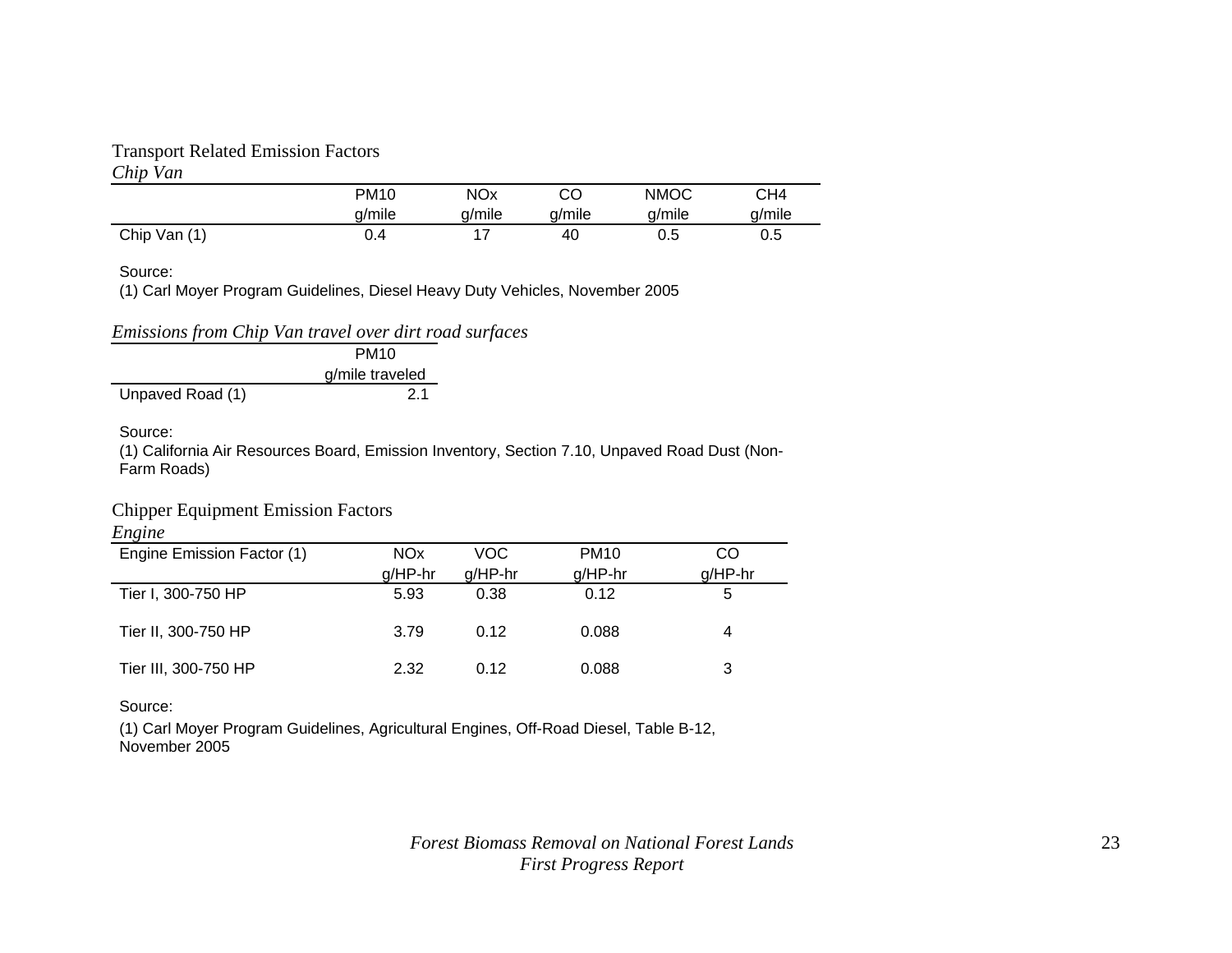#### Transport Related Emission Factors

#### *Chip Van* PM10 NOx CO NMOC CH4 CH<sub>4</sub> g/mile g/mile g/mile g/mile g/mile Chip Van (1) 0.4 17 40 0.5 0.5

Source:

(1) Carl Moyer Program Guidelines, Diesel Heavy Duty Vehicles, November 2005

*Emissions from Chip Van travel over dirt road surfaces* 

|                  | PM <sub>10</sub> |
|------------------|------------------|
|                  | g/mile traveled  |
| Unpaved Road (1) | 2.1              |

Source:

(1) California Air Resources Board, Emission Inventory, Section 7.10, Unpaved Road Dust (Non-Farm Roads)

#### Chipper Equipment Emission Factors

*Engine*

| Engine Emission Factor (1) | NO <sub>x</sub> | VOC       | <b>PM10</b> | CO        |
|----------------------------|-----------------|-----------|-------------|-----------|
|                            | $g/HP-hr$       | $g/HP-hr$ | $g/HP-hr$   | $g/HP-hr$ |
| Tier I, 300-750 HP         | 5.93            | 0.38      | 0.12        | 5         |
| Tier II, 300-750 HP        | 3.79            | 0.12      | 0.088       | 4         |
| Tier III, 300-750 HP       | 2.32            | 0.12      | 0.088       | 3         |

#### Source:

(1) Carl Moyer Program Guidelines, Agricultural Engines, Off-Road Diesel, Table B-12, November 2005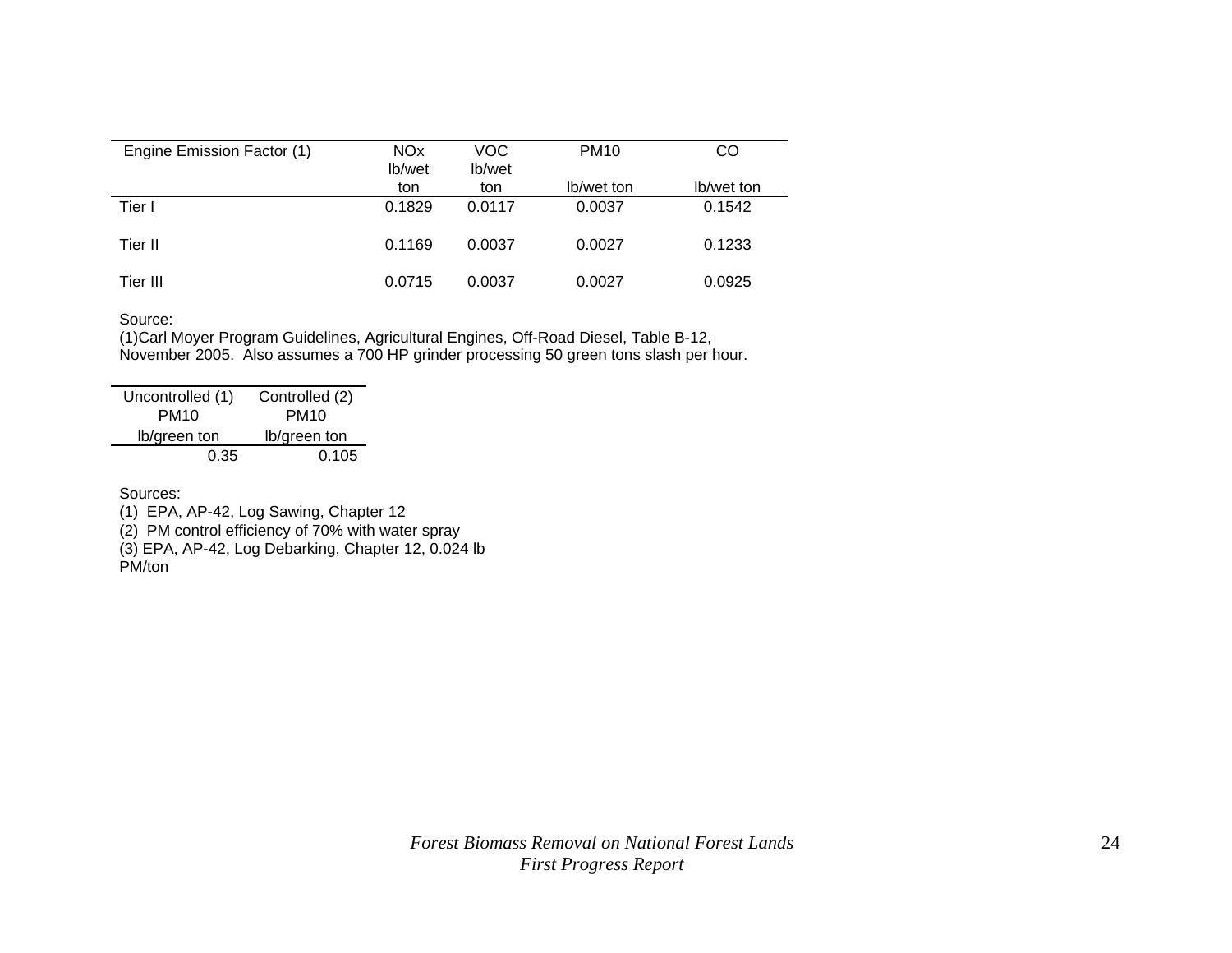| Engine Emission Factor (1) | <b>NO<sub>x</sub></b><br>lb/wet | VOC.<br>lb/wet | <b>PM10</b> | CO         |
|----------------------------|---------------------------------|----------------|-------------|------------|
|                            | ton                             | ton            | lb/wet ton  | lb/wet ton |
| Tier I                     | 0.1829                          | 0.0117         | 0.0037      | 0.1542     |
| Tier II                    | 0.1169                          | 0.0037         | 0.0027      | 0.1233     |
| Tier III                   | 0.0715                          | 0.0037         | 0.0027      | 0.0925     |

#### Source:

 (1)Carl Moyer Program Guidelines, Agricultural Engines, Off-Road Diesel, Table B-12, November 2005. Also assumes a 700 HP grinder processing 50 green tons slash per hour.

| Uncontrolled (1) | Controlled (2) |
|------------------|----------------|
| <b>PM10</b>      | <b>PM10</b>    |
| lb/green ton     | lb/green ton   |
| 0.35             | 0.105          |

Sources:

(1) EPA, AP-42, Log Sawing, Chapter 12

(2) PM control efficiency of 70% with water spray

(3) EPA, AP-42, Log Debarking, Chapter 12, 0.024 lb

PM/ton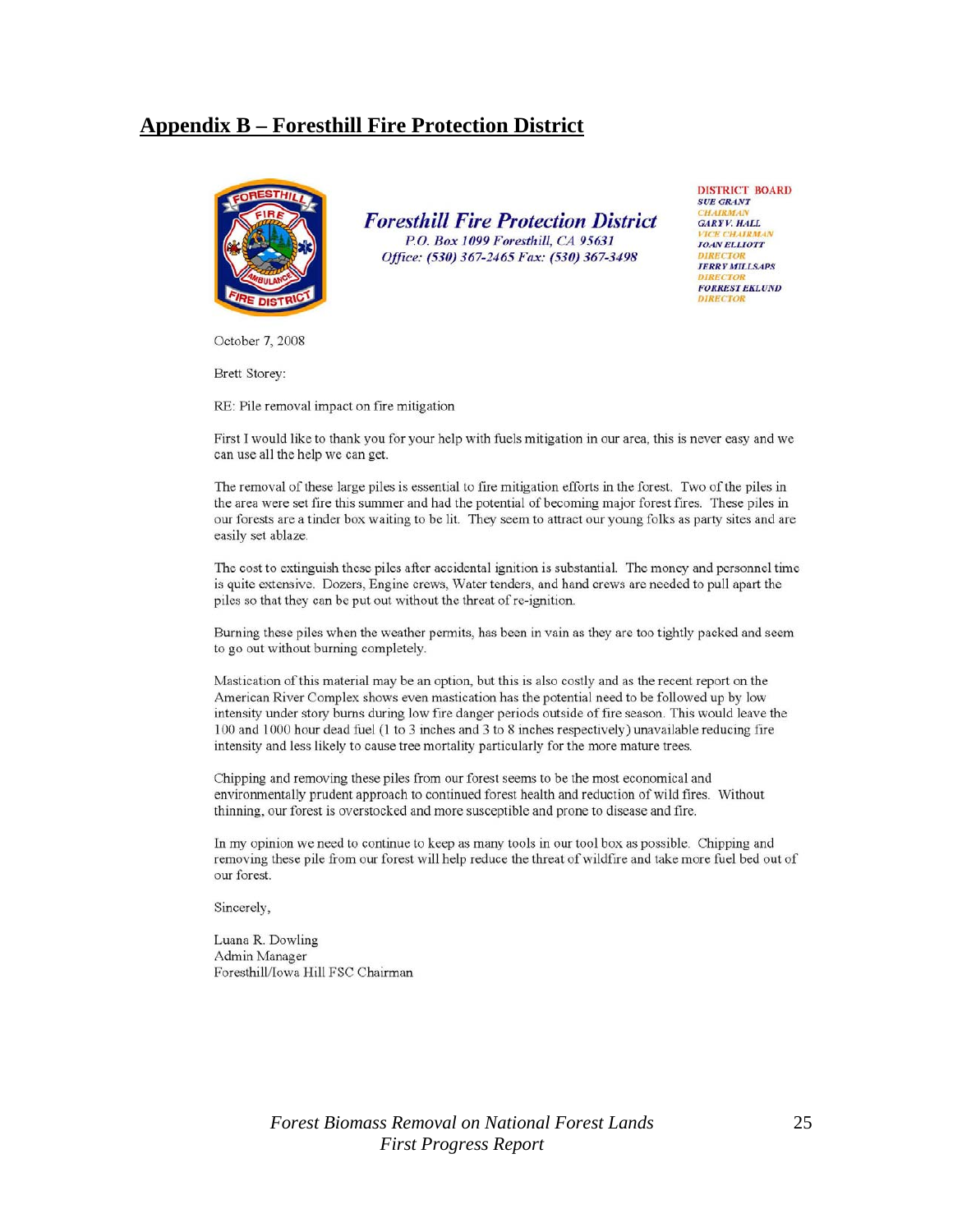### **Appendix B – Foresthill Fire Protection District**



**Foresthill Fire Protection District** P.O. Box 1099 Foresthill, CA 95631 Office: (530) 367-2465 Fax: (530) 367-3498

**DISTRICT BOARD SUE GRANT GARYV. HALL JOAN ELLIOTT JERRY MILLSAPS FORREST EKLUND** 

October 7, 2008

Brett Storey:

RE: Pile removal impact on fire mitigation

First I would like to thank you for your help with fuels mitigation in our area, this is never easy and we can use all the help we can get.

The removal of these large piles is essential to fire mitigation efforts in the forest. Two of the piles in the area were set fire this summer and had the potential of becoming major forest fires. These piles in our forests are a tinder box waiting to be lit. They seem to attract our young folks as party sites and are easily set ablaze.

The cost to extinguish these piles after accidental ignition is substantial. The money and personnel time is quite extensive. Dozers, Engine crews, Water tenders, and hand crews are needed to pull apart the piles so that they can be put out without the threat of re-ignition.

Burning these piles when the weather permits, has been in vain as they are too tightly packed and seem to go out without burning completely.

Mastication of this material may be an option, but this is also costly and as the recent report on the American River Complex shows even mastication has the potential need to be followed up by low intensity under story burns during low fire danger periods outside of fire season. This would leave the 100 and 1000 hour dead fuel (1 to 3 inches and 3 to 8 inches respectively) unavailable reducing fire intensity and less likely to cause tree mortality particularly for the more mature trees.

Chipping and removing these piles from our forest seems to be the most economical and environmentally prudent approach to continued forest health and reduction of wild fires. Without thinning, our forest is overstocked and more susceptible and prone to disease and fire.

In my opinion we need to continue to keep as many tools in our tool box as possible. Chipping and removing these pile from our forest will help reduce the threat of wildfire and take more fuel bed out of our forest.

Sincerely,

Luana R. Dowling Admin Manager Foresthill/Iowa Hill FSC Chairman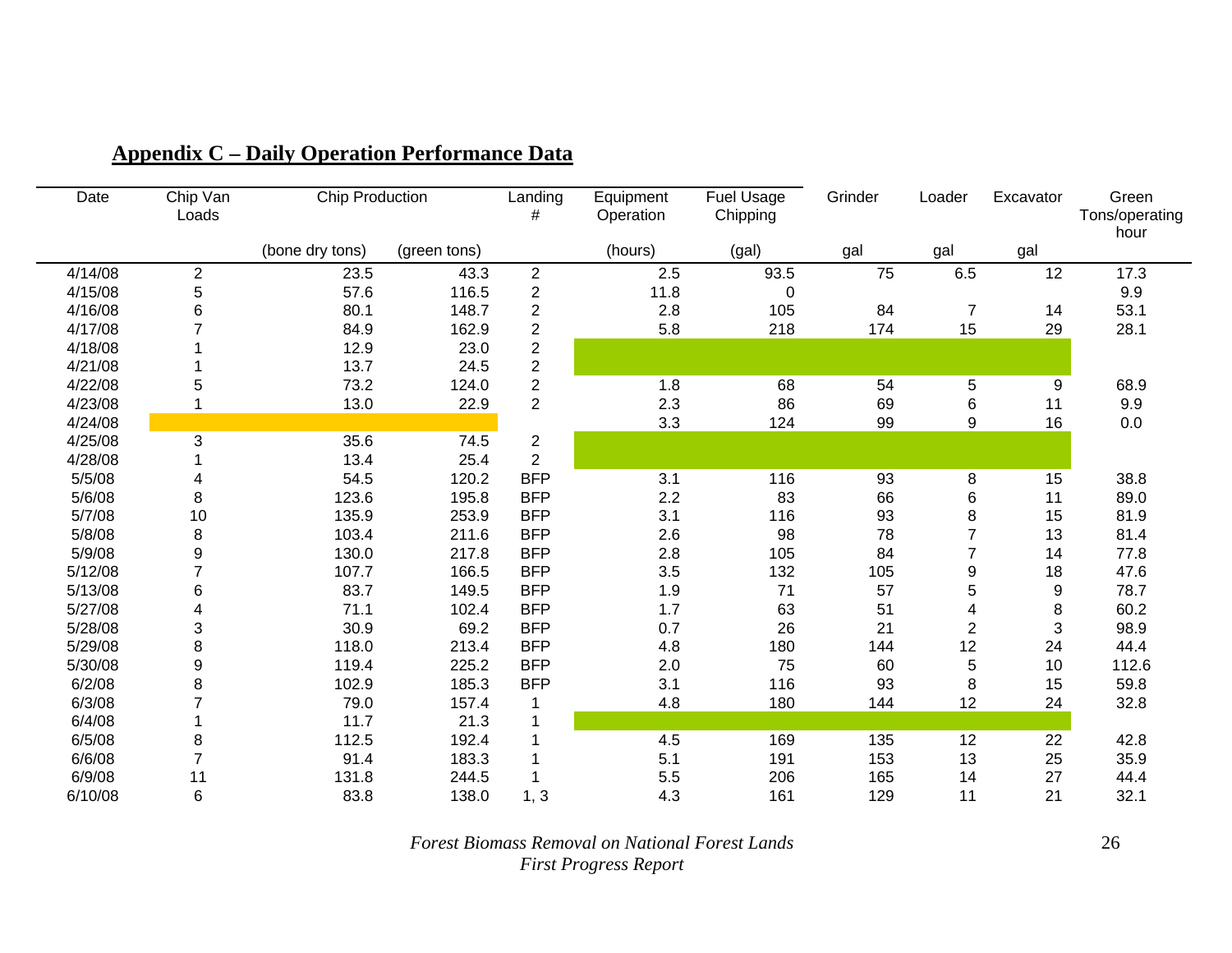| Date    | Chip Van<br>Loads       | <b>Chip Production</b> |              | Landing<br>#   | Equipment<br>Operation | <b>Fuel Usage</b><br>Chipping | Grinder | Loader         | Excavator        | Green<br>Tons/operating<br>hour |
|---------|-------------------------|------------------------|--------------|----------------|------------------------|-------------------------------|---------|----------------|------------------|---------------------------------|
|         |                         | (bone dry tons)        | (green tons) |                | (hours)                | (gal)                         | gal     | gal            | gal              |                                 |
| 4/14/08 | $\overline{\mathbf{c}}$ | 23.5                   | 43.3         | $\overline{c}$ | 2.5                    | 93.5                          | 75      | 6.5            | 12               | 17.3                            |
| 4/15/08 | 5                       | 57.6                   | 116.5        | $\overline{c}$ | 11.8                   | 0                             |         |                |                  | 9.9                             |
| 4/16/08 | 6                       | 80.1                   | 148.7        | $\overline{c}$ | 2.8                    | 105                           | 84      | $\overline{7}$ | 14               | 53.1                            |
| 4/17/08 |                         | 84.9                   | 162.9        | $\overline{c}$ | 5.8                    | 218                           | 174     | 15             | 29               | 28.1                            |
| 4/18/08 |                         | 12.9                   | 23.0         | 2              |                        |                               |         |                |                  |                                 |
| 4/21/08 |                         | 13.7                   | 24.5         | $\overline{c}$ |                        |                               |         |                |                  |                                 |
| 4/22/08 | 5                       | 73.2                   | 124.0        | $\frac{2}{2}$  | 1.8                    | 68                            | 54      | 5              | 9                | 68.9                            |
| 4/23/08 |                         | 13.0                   | 22.9         |                | 2.3                    | 86                            | 69      | 6              | 11               | 9.9                             |
| 4/24/08 |                         |                        |              |                | 3.3                    | 124                           | 99      | 9              | 16               | 0.0                             |
| 4/25/08 | 3                       | 35.6                   | 74.5         | $\overline{c}$ |                        |                               |         |                |                  |                                 |
| 4/28/08 |                         | 13.4                   | 25.4         | $\overline{c}$ |                        |                               |         |                |                  |                                 |
| 5/5/08  | 4                       | 54.5                   | 120.2        | <b>BFP</b>     | 3.1                    | 116                           | 93      | 8              | 15               | 38.8                            |
| 5/6/08  | 8                       | 123.6                  | 195.8        | <b>BFP</b>     | 2.2                    | 83                            | 66      | 6              | 11               | 89.0                            |
| 5/7/08  | 10                      | 135.9                  | 253.9        | <b>BFP</b>     | 3.1                    | 116                           | 93      | 8              | 15               | 81.9                            |
| 5/8/08  | 8                       | 103.4                  | 211.6        | <b>BFP</b>     | 2.6                    | 98                            | 78      | $\overline{7}$ | 13               | 81.4                            |
| 5/9/08  | 9                       | 130.0                  | 217.8        | <b>BFP</b>     | 2.8                    | 105                           | 84      | $\overline{7}$ | 14               | 77.8                            |
| 5/12/08 | $\overline{7}$          | 107.7                  | 166.5        | <b>BFP</b>     | 3.5                    | 132                           | 105     | 9              | 18               | 47.6                            |
| 5/13/08 | 6                       | 83.7                   | 149.5        | <b>BFP</b>     | 1.9                    | 71                            | 57      | 5              | $\boldsymbol{9}$ | 78.7                            |
| 5/27/08 | 4                       | 71.1                   | 102.4        | <b>BFP</b>     | 1.7                    | 63                            | 51      | 4              | 8                | 60.2                            |
| 5/28/08 | 3                       | 30.9                   | 69.2         | <b>BFP</b>     | 0.7                    | 26                            | 21      | 2              | 3                | 98.9                            |
| 5/29/08 | 8                       | 118.0                  | 213.4        | <b>BFP</b>     | 4.8                    | 180                           | 144     | 12             | 24               | 44.4                            |
| 5/30/08 | $\boldsymbol{9}$        | 119.4                  | 225.2        | <b>BFP</b>     | 2.0                    | 75                            | 60      | 5              | 10               | 112.6                           |
| 6/2/08  | 8                       | 102.9                  | 185.3        | <b>BFP</b>     | 3.1                    | 116                           | 93      | 8              | 15               | 59.8                            |
| 6/3/08  | $\overline{7}$          | 79.0                   | 157.4        |                | 4.8                    | 180                           | 144     | 12             | 24               | 32.8                            |
| 6/4/08  |                         | 11.7                   | 21.3         |                |                        |                               |         |                |                  |                                 |
| 6/5/08  | 8                       | 112.5                  | 192.4        |                | 4.5                    | 169                           | 135     | 12             | 22               | 42.8                            |
| 6/6/08  | $\overline{7}$          | 91.4                   | 183.3        |                | 5.1                    | 191                           | 153     | 13             | 25               | 35.9                            |
| 6/9/08  | 11                      | 131.8                  | 244.5        |                | 5.5                    | 206                           | 165     | 14             | 27               | 44.4                            |
| 6/10/08 | 6                       | 83.8                   | 138.0        | 1, 3           | 4.3                    | 161                           | 129     | 11             | 21               | 32.1                            |

# **Appendix C – Daily Operation Performance Data**

*Forest Biomass Removal on National Forest Lands First Progress Report*